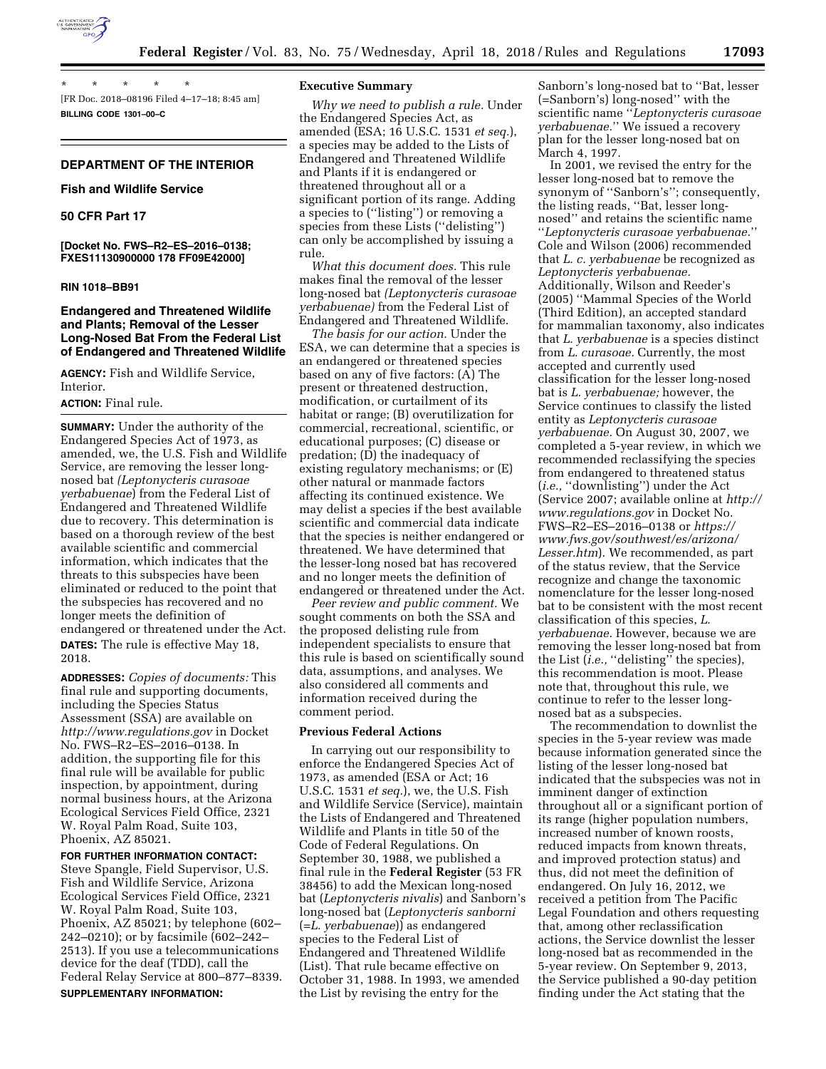

\* \* \* \* \* [FR Doc. 2018–08196 Filed 4–17–18; 8:45 am] **BILLING CODE 1301–00–C** 

# **DEPARTMENT OF THE INTERIOR**

#### **Fish and Wildlife Service**

## **50 CFR Part 17**

**[Docket No. FWS–R2–ES–2016–0138; FXES11130900000 178 FF09E42000]** 

#### **RIN 1018–BB91**

# **Endangered and Threatened Wildlife and Plants; Removal of the Lesser Long-Nosed Bat From the Federal List of Endangered and Threatened Wildlife**

**AGENCY:** Fish and Wildlife Service, Interior.

## **ACTION:** Final rule.

**SUMMARY:** Under the authority of the Endangered Species Act of 1973, as amended, we, the U.S. Fish and Wildlife Service, are removing the lesser longnosed bat *(Leptonycteris curasoae yerbabuenae*) from the Federal List of Endangered and Threatened Wildlife due to recovery. This determination is based on a thorough review of the best available scientific and commercial information, which indicates that the threats to this subspecies have been eliminated or reduced to the point that the subspecies has recovered and no longer meets the definition of endangered or threatened under the Act. **DATES:** The rule is effective May 18, 2018.

**ADDRESSES:** *Copies of documents:* This final rule and supporting documents, including the Species Status Assessment (SSA) are available on *<http://www.regulations.gov>* in Docket No. FWS–R2–ES–2016–0138. In addition, the supporting file for this final rule will be available for public inspection, by appointment, during normal business hours, at the Arizona Ecological Services Field Office, 2321 W. Royal Palm Road, Suite 103, Phoenix, AZ 85021.

#### **FOR FURTHER INFORMATION CONTACT:**

Steve Spangle, Field Supervisor, U.S. Fish and Wildlife Service, Arizona Ecological Services Field Office, 2321 W. Royal Palm Road, Suite 103, Phoenix, AZ 85021; by telephone (602– 242–0210); or by facsimile (602–242– 2513). If you use a telecommunications device for the deaf (TDD), call the Federal Relay Service at 800–877–8339. **SUPPLEMENTARY INFORMATION:** 

#### **Executive Summary**

*Why we need to publish a rule.* Under the Endangered Species Act, as amended (ESA; 16 U.S.C. 1531 *et seq.*), a species may be added to the Lists of Endangered and Threatened Wildlife and Plants if it is endangered or threatened throughout all or a significant portion of its range. Adding a species to (''listing'') or removing a species from these Lists (''delisting'') can only be accomplished by issuing a rule.

*What this document does.* This rule makes final the removal of the lesser long-nosed bat *(Leptonycteris curasoae yerbabuenae)* from the Federal List of Endangered and Threatened Wildlife.

*The basis for our action.* Under the ESA, we can determine that a species is an endangered or threatened species based on any of five factors: (A) The present or threatened destruction, modification, or curtailment of its habitat or range; (B) overutilization for commercial, recreational, scientific, or educational purposes; (C) disease or predation; (D) the inadequacy of existing regulatory mechanisms; or (E) other natural or manmade factors affecting its continued existence. We may delist a species if the best available scientific and commercial data indicate that the species is neither endangered or threatened. We have determined that the lesser-long nosed bat has recovered and no longer meets the definition of endangered or threatened under the Act.

*Peer review and public comment.* We sought comments on both the SSA and the proposed delisting rule from independent specialists to ensure that this rule is based on scientifically sound data, assumptions, and analyses. We also considered all comments and information received during the comment period.

#### **Previous Federal Actions**

In carrying out our responsibility to enforce the Endangered Species Act of 1973, as amended (ESA or Act; 16 U.S.C. 1531 *et seq.*), we, the U.S. Fish and Wildlife Service (Service), maintain the Lists of Endangered and Threatened Wildlife and Plants in title 50 of the Code of Federal Regulations. On September 30, 1988, we published a final rule in the **Federal Register** (53 FR 38456) to add the Mexican long-nosed bat (*Leptonycteris nivalis*) and Sanborn's long-nosed bat (*Leptonycteris sanborni*  (=*L. yerbabuenae*)) as endangered species to the Federal List of Endangered and Threatened Wildlife (List). That rule became effective on October 31, 1988. In 1993, we amended the List by revising the entry for the

Sanborn's long-nosed bat to ''Bat, lesser (=Sanborn's) long-nosed'' with the scientific name ''*Leptonycteris curasoae yerbabuenae.*'' We issued a recovery plan for the lesser long-nosed bat on March 4, 1997.

In 2001, we revised the entry for the lesser long-nosed bat to remove the synonym of ''Sanborn's''; consequently, the listing reads, ''Bat, lesser longnosed'' and retains the scientific name ''*Leptonycteris curasoae yerbabuenae.*'' Cole and Wilson (2006) recommended that *L. c. yerbabuenae* be recognized as *Leptonycteris yerbabuenae.*  Additionally, Wilson and Reeder's (2005) ''Mammal Species of the World (Third Edition), an accepted standard for mammalian taxonomy, also indicates that *L. yerbabuenae* is a species distinct from *L. curasoae.* Currently, the most accepted and currently used classification for the lesser long-nosed bat is *L. yerbabuenae;* however, the Service continues to classify the listed entity as *Leptonycteris curasoae yerbabuenae.* On August 30, 2007, we completed a 5-year review, in which we recommended reclassifying the species from endangered to threatened status (*i.e.,* ''downlisting'') under the Act (Service 2007; available online at *[http://](http://www.regulations.gov)  [www.regulations.gov](http://www.regulations.gov)* in Docket No. FWS–R2–ES–2016–0138 or *[https://](https://www.fws.gov/southwest/es/arizona/Lesser.htm) [www.fws.gov/southwest/es/arizona/](https://www.fws.gov/southwest/es/arizona/Lesser.htm)  [Lesser.htm](https://www.fws.gov/southwest/es/arizona/Lesser.htm)*). We recommended, as part of the status review, that the Service recognize and change the taxonomic nomenclature for the lesser long-nosed bat to be consistent with the most recent classification of this species, *L. yerbabuenae.* However, because we are removing the lesser long-nosed bat from the List (*i.e.*, "delisting" the species), this recommendation is moot. Please note that, throughout this rule, we continue to refer to the lesser longnosed bat as a subspecies.

The recommendation to downlist the species in the 5-year review was made because information generated since the listing of the lesser long-nosed bat indicated that the subspecies was not in imminent danger of extinction throughout all or a significant portion of its range (higher population numbers, increased number of known roosts, reduced impacts from known threats, and improved protection status) and thus, did not meet the definition of endangered. On July 16, 2012, we received a petition from The Pacific Legal Foundation and others requesting that, among other reclassification actions, the Service downlist the lesser long-nosed bat as recommended in the 5-year review. On September 9, 2013, the Service published a 90-day petition finding under the Act stating that the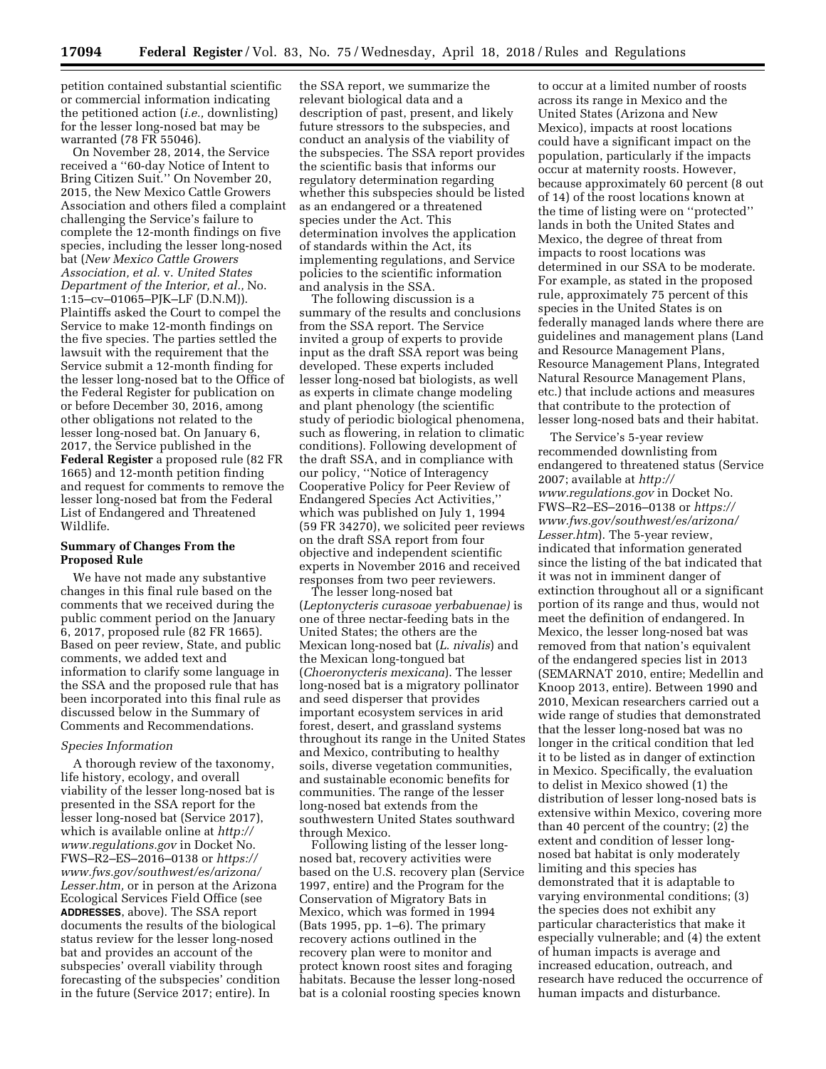petition contained substantial scientific or commercial information indicating the petitioned action (*i.e.,* downlisting) for the lesser long-nosed bat may be warranted (78 FR 55046).

On November 28, 2014, the Service received a ''60-day Notice of Intent to Bring Citizen Suit.'' On November 20, 2015, the New Mexico Cattle Growers Association and others filed a complaint challenging the Service's failure to complete the 12-month findings on five species, including the lesser long-nosed bat (*New Mexico Cattle Growers Association, et al.* v. *United States Department of the Interior, et al.,* No. 1:15–cv–01065–PJK–LF (D.N.M)). Plaintiffs asked the Court to compel the Service to make 12-month findings on the five species. The parties settled the lawsuit with the requirement that the Service submit a 12-month finding for the lesser long-nosed bat to the Office of the Federal Register for publication on or before December 30, 2016, among other obligations not related to the lesser long-nosed bat. On January 6, 2017, the Service published in the **Federal Register** a proposed rule (82 FR 1665) and 12-month petition finding and request for comments to remove the lesser long-nosed bat from the Federal List of Endangered and Threatened Wildlife.

# **Summary of Changes From the Proposed Rule**

We have not made any substantive changes in this final rule based on the comments that we received during the public comment period on the January 6, 2017, proposed rule (82 FR 1665). Based on peer review, State, and public comments, we added text and information to clarify some language in the SSA and the proposed rule that has been incorporated into this final rule as discussed below in the Summary of Comments and Recommendations.

#### *Species Information*

A thorough review of the taxonomy, life history, ecology, and overall viability of the lesser long-nosed bat is presented in the SSA report for the lesser long-nosed bat (Service 2017), which is available online at *[http://](http://www.regulations.gov) [www.regulations.gov](http://www.regulations.gov)* in Docket No. FWS–R2–ES–2016–0138 or *[https://](https://www.fws.gov/southwest/es/arizona/Lesser.htm) [www.fws.gov/southwest/es/arizona/](https://www.fws.gov/southwest/es/arizona/Lesser.htm)  [Lesser.htm,](https://www.fws.gov/southwest/es/arizona/Lesser.htm)* or in person at the Arizona Ecological Services Field Office (see **ADDRESSES**, above). The SSA report documents the results of the biological status review for the lesser long-nosed bat and provides an account of the subspecies' overall viability through forecasting of the subspecies' condition in the future (Service 2017; entire). In

the SSA report, we summarize the relevant biological data and a description of past, present, and likely future stressors to the subspecies, and conduct an analysis of the viability of the subspecies. The SSA report provides the scientific basis that informs our regulatory determination regarding whether this subspecies should be listed as an endangered or a threatened species under the Act. This determination involves the application of standards within the Act, its implementing regulations, and Service policies to the scientific information and analysis in the SSA.

The following discussion is a summary of the results and conclusions from the SSA report. The Service invited a group of experts to provide input as the draft SSA report was being developed. These experts included lesser long-nosed bat biologists, as well as experts in climate change modeling and plant phenology (the scientific study of periodic biological phenomena, such as flowering, in relation to climatic conditions). Following development of the draft SSA, and in compliance with our policy, ''Notice of Interagency Cooperative Policy for Peer Review of Endangered Species Act Activities,'' which was published on July 1, 1994 (59 FR 34270), we solicited peer reviews on the draft SSA report from four objective and independent scientific experts in November 2016 and received responses from two peer reviewers.

The lesser long-nosed bat (*Leptonycteris curasoae yerbabuenae)* is one of three nectar-feeding bats in the United States; the others are the Mexican long-nosed bat (*L. nivalis*) and the Mexican long-tongued bat (*Choeronycteris mexicana*). The lesser long-nosed bat is a migratory pollinator and seed disperser that provides important ecosystem services in arid forest, desert, and grassland systems throughout its range in the United States and Mexico, contributing to healthy soils, diverse vegetation communities, and sustainable economic benefits for communities. The range of the lesser long-nosed bat extends from the southwestern United States southward through Mexico.

Following listing of the lesser longnosed bat, recovery activities were based on the U.S. recovery plan (Service 1997, entire) and the Program for the Conservation of Migratory Bats in Mexico, which was formed in 1994 (Bats 1995, pp. 1–6). The primary recovery actions outlined in the recovery plan were to monitor and protect known roost sites and foraging habitats. Because the lesser long-nosed bat is a colonial roosting species known

to occur at a limited number of roosts across its range in Mexico and the United States (Arizona and New Mexico), impacts at roost locations could have a significant impact on the population, particularly if the impacts occur at maternity roosts. However, because approximately 60 percent (8 out of 14) of the roost locations known at the time of listing were on ''protected'' lands in both the United States and Mexico, the degree of threat from impacts to roost locations was determined in our SSA to be moderate. For example, as stated in the proposed rule, approximately 75 percent of this species in the United States is on federally managed lands where there are guidelines and management plans (Land and Resource Management Plans, Resource Management Plans, Integrated Natural Resource Management Plans, etc.) that include actions and measures that contribute to the protection of lesser long-nosed bats and their habitat.

The Service's 5-year review recommended downlisting from endangered to threatened status (Service 2007; available at *[http://](http://www.regulations.gov) [www.regulations.gov](http://www.regulations.gov)* in Docket No. FWS–R2–ES–2016–0138 or *[https://](https://www.fws.gov/southwest/es/arizona/Lesser.htm) [www.fws.gov/southwest/es/arizona/](https://www.fws.gov/southwest/es/arizona/Lesser.htm)  [Lesser.htm](https://www.fws.gov/southwest/es/arizona/Lesser.htm)*). The 5-year review, indicated that information generated since the listing of the bat indicated that it was not in imminent danger of extinction throughout all or a significant portion of its range and thus, would not meet the definition of endangered. In Mexico, the lesser long-nosed bat was removed from that nation's equivalent of the endangered species list in 2013 (SEMARNAT 2010, entire; Medellin and Knoop 2013, entire). Between 1990 and 2010, Mexican researchers carried out a wide range of studies that demonstrated that the lesser long-nosed bat was no longer in the critical condition that led it to be listed as in danger of extinction in Mexico. Specifically, the evaluation to delist in Mexico showed (1) the distribution of lesser long-nosed bats is extensive within Mexico, covering more than 40 percent of the country; (2) the extent and condition of lesser longnosed bat habitat is only moderately limiting and this species has demonstrated that it is adaptable to varying environmental conditions; (3) the species does not exhibit any particular characteristics that make it especially vulnerable; and (4) the extent of human impacts is average and increased education, outreach, and research have reduced the occurrence of human impacts and disturbance.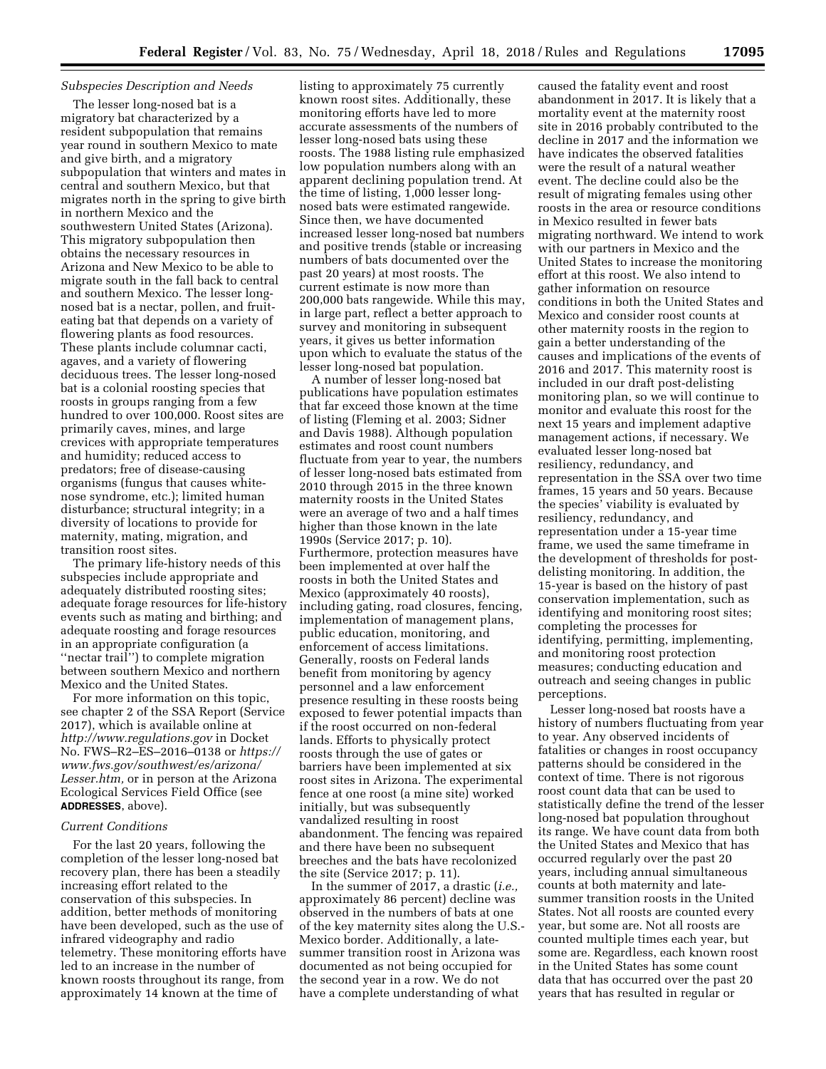### *Subspecies Description and Needs*

The lesser long-nosed bat is a migratory bat characterized by a resident subpopulation that remains year round in southern Mexico to mate and give birth, and a migratory subpopulation that winters and mates in central and southern Mexico, but that migrates north in the spring to give birth in northern Mexico and the southwestern United States (Arizona). This migratory subpopulation then obtains the necessary resources in Arizona and New Mexico to be able to migrate south in the fall back to central and southern Mexico. The lesser longnosed bat is a nectar, pollen, and fruiteating bat that depends on a variety of flowering plants as food resources. These plants include columnar cacti, agaves, and a variety of flowering deciduous trees. The lesser long-nosed bat is a colonial roosting species that roosts in groups ranging from a few hundred to over 100,000. Roost sites are primarily caves, mines, and large crevices with appropriate temperatures and humidity; reduced access to predators; free of disease-causing organisms (fungus that causes whitenose syndrome, etc.); limited human disturbance; structural integrity; in a diversity of locations to provide for maternity, mating, migration, and transition roost sites.

The primary life-history needs of this subspecies include appropriate and adequately distributed roosting sites; adequate forage resources for life-history events such as mating and birthing; and adequate roosting and forage resources in an appropriate configuration (a ''nectar trail'') to complete migration between southern Mexico and northern Mexico and the United States.

For more information on this topic, see chapter 2 of the SSA Report (Service 2017), which is available online at *<http://www.regulations.gov>* in Docket No. FWS–R2–ES–2016–0138 or *[https://](https://www.fws.gov/southwest/es/arizona/Lesser.htm)  [www.fws.gov/southwest/es/arizona/](https://www.fws.gov/southwest/es/arizona/Lesser.htm)  [Lesser.htm,](https://www.fws.gov/southwest/es/arizona/Lesser.htm)* or in person at the Arizona Ecological Services Field Office (see **ADDRESSES**, above).

### *Current Conditions*

For the last 20 years, following the completion of the lesser long-nosed bat recovery plan, there has been a steadily increasing effort related to the conservation of this subspecies. In addition, better methods of monitoring have been developed, such as the use of infrared videography and radio telemetry. These monitoring efforts have led to an increase in the number of known roosts throughout its range, from approximately 14 known at the time of

listing to approximately 75 currently known roost sites. Additionally, these monitoring efforts have led to more accurate assessments of the numbers of lesser long-nosed bats using these roosts. The 1988 listing rule emphasized low population numbers along with an apparent declining population trend. At the time of listing, 1,000 lesser longnosed bats were estimated rangewide. Since then, we have documented increased lesser long-nosed bat numbers and positive trends (stable or increasing numbers of bats documented over the past 20 years) at most roosts. The current estimate is now more than 200,000 bats rangewide. While this may, in large part, reflect a better approach to survey and monitoring in subsequent years, it gives us better information upon which to evaluate the status of the lesser long-nosed bat population.

A number of lesser long-nosed bat publications have population estimates that far exceed those known at the time of listing (Fleming et al. 2003; Sidner and Davis 1988). Although population estimates and roost count numbers fluctuate from year to year, the numbers of lesser long-nosed bats estimated from 2010 through 2015 in the three known maternity roosts in the United States were an average of two and a half times higher than those known in the late 1990s (Service 2017; p. 10). Furthermore, protection measures have been implemented at over half the roosts in both the United States and Mexico (approximately 40 roosts), including gating, road closures, fencing, implementation of management plans, public education, monitoring, and enforcement of access limitations. Generally, roosts on Federal lands benefit from monitoring by agency personnel and a law enforcement presence resulting in these roosts being exposed to fewer potential impacts than if the roost occurred on non-federal lands. Efforts to physically protect roosts through the use of gates or barriers have been implemented at six roost sites in Arizona. The experimental fence at one roost (a mine site) worked initially, but was subsequently vandalized resulting in roost abandonment. The fencing was repaired and there have been no subsequent breeches and the bats have recolonized the site (Service 2017; p. 11).

In the summer of 2017, a drastic (*i.e.,*  approximately 86 percent) decline was observed in the numbers of bats at one of the key maternity sites along the U.S.- Mexico border. Additionally, a latesummer transition roost in Arizona was documented as not being occupied for the second year in a row. We do not have a complete understanding of what

caused the fatality event and roost abandonment in 2017. It is likely that a mortality event at the maternity roost site in 2016 probably contributed to the decline in 2017 and the information we have indicates the observed fatalities were the result of a natural weather event. The decline could also be the result of migrating females using other roosts in the area or resource conditions in Mexico resulted in fewer bats migrating northward. We intend to work with our partners in Mexico and the United States to increase the monitoring effort at this roost. We also intend to gather information on resource conditions in both the United States and Mexico and consider roost counts at other maternity roosts in the region to gain a better understanding of the causes and implications of the events of 2016 and 2017. This maternity roost is included in our draft post-delisting monitoring plan, so we will continue to monitor and evaluate this roost for the next 15 years and implement adaptive management actions, if necessary. We evaluated lesser long-nosed bat resiliency, redundancy, and representation in the SSA over two time frames, 15 years and 50 years. Because the species' viability is evaluated by resiliency, redundancy, and representation under a 15-year time frame, we used the same timeframe in the development of thresholds for postdelisting monitoring. In addition, the 15-year is based on the history of past conservation implementation, such as identifying and monitoring roost sites; completing the processes for identifying, permitting, implementing, and monitoring roost protection measures; conducting education and outreach and seeing changes in public perceptions.

Lesser long-nosed bat roosts have a history of numbers fluctuating from year to year. Any observed incidents of fatalities or changes in roost occupancy patterns should be considered in the context of time. There is not rigorous roost count data that can be used to statistically define the trend of the lesser long-nosed bat population throughout its range. We have count data from both the United States and Mexico that has occurred regularly over the past 20 years, including annual simultaneous counts at both maternity and latesummer transition roosts in the United States. Not all roosts are counted every year, but some are. Not all roosts are counted multiple times each year, but some are. Regardless, each known roost in the United States has some count data that has occurred over the past 20 years that has resulted in regular or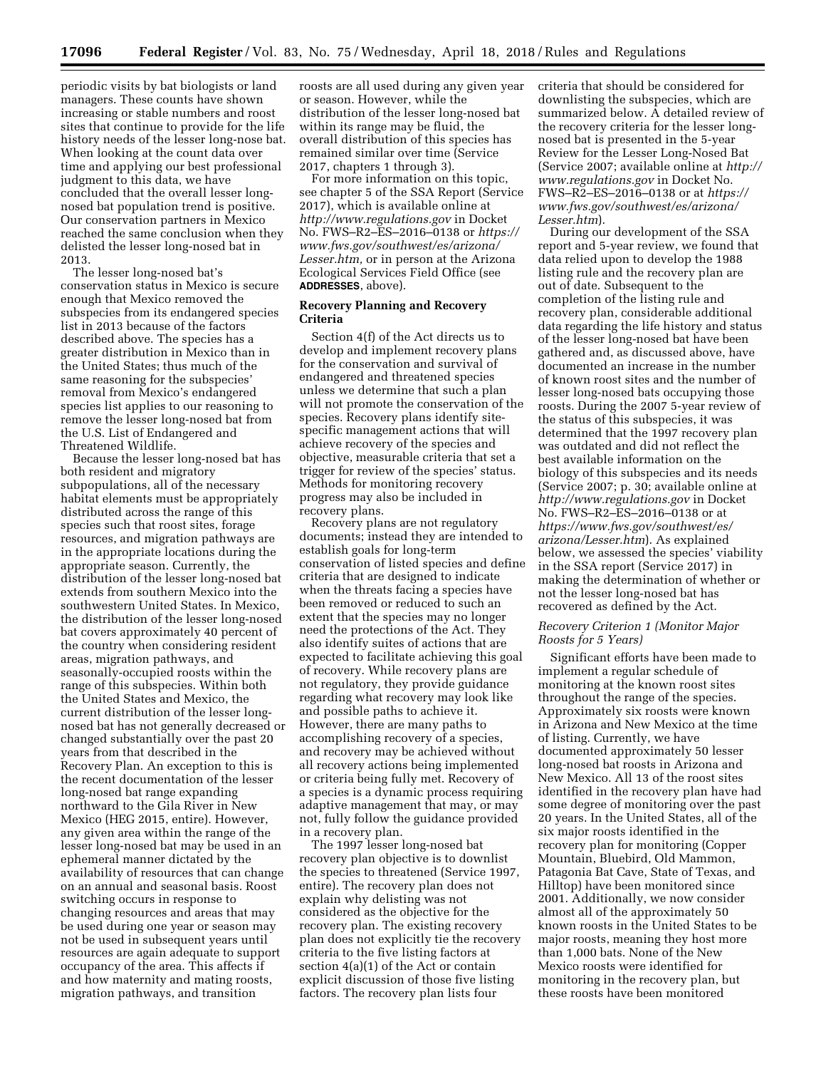periodic visits by bat biologists or land managers. These counts have shown increasing or stable numbers and roost sites that continue to provide for the life history needs of the lesser long-nose bat. When looking at the count data over time and applying our best professional judgment to this data, we have concluded that the overall lesser longnosed bat population trend is positive. Our conservation partners in Mexico reached the same conclusion when they delisted the lesser long-nosed bat in 2013.

The lesser long-nosed bat's conservation status in Mexico is secure enough that Mexico removed the subspecies from its endangered species list in 2013 because of the factors described above. The species has a greater distribution in Mexico than in the United States; thus much of the same reasoning for the subspecies' removal from Mexico's endangered species list applies to our reasoning to remove the lesser long-nosed bat from the U.S. List of Endangered and Threatened Wildlife.

Because the lesser long-nosed bat has both resident and migratory subpopulations, all of the necessary habitat elements must be appropriately distributed across the range of this species such that roost sites, forage resources, and migration pathways are in the appropriate locations during the appropriate season. Currently, the distribution of the lesser long-nosed bat extends from southern Mexico into the southwestern United States. In Mexico, the distribution of the lesser long-nosed bat covers approximately 40 percent of the country when considering resident areas, migration pathways, and seasonally-occupied roosts within the range of this subspecies. Within both the United States and Mexico, the current distribution of the lesser longnosed bat has not generally decreased or changed substantially over the past 20 years from that described in the Recovery Plan. An exception to this is the recent documentation of the lesser long-nosed bat range expanding northward to the Gila River in New Mexico (HEG 2015, entire). However, any given area within the range of the lesser long-nosed bat may be used in an ephemeral manner dictated by the availability of resources that can change on an annual and seasonal basis. Roost switching occurs in response to changing resources and areas that may be used during one year or season may not be used in subsequent years until resources are again adequate to support occupancy of the area. This affects if and how maternity and mating roosts, migration pathways, and transition

roosts are all used during any given year or season. However, while the distribution of the lesser long-nosed bat within its range may be fluid, the overall distribution of this species has remained similar over time (Service 2017, chapters 1 through 3).

For more information on this topic, see chapter 5 of the SSA Report (Service 2017), which is available online at *<http://www.regulations.gov>* in Docket No. FWS–R2–ES–2016–0138 or *[https://](https://www.fws.gov/southwest/es/arizona/Lesser.htm)  [www.fws.gov/southwest/es/arizona/](https://www.fws.gov/southwest/es/arizona/Lesser.htm)  [Lesser.htm,](https://www.fws.gov/southwest/es/arizona/Lesser.htm)* or in person at the Arizona Ecological Services Field Office (see **ADDRESSES**, above).

## **Recovery Planning and Recovery Criteria**

Section 4(f) of the Act directs us to develop and implement recovery plans for the conservation and survival of endangered and threatened species unless we determine that such a plan will not promote the conservation of the species. Recovery plans identify sitespecific management actions that will achieve recovery of the species and objective, measurable criteria that set a trigger for review of the species' status. Methods for monitoring recovery progress may also be included in recovery plans.

Recovery plans are not regulatory documents; instead they are intended to establish goals for long-term conservation of listed species and define criteria that are designed to indicate when the threats facing a species have been removed or reduced to such an extent that the species may no longer need the protections of the Act. They also identify suites of actions that are expected to facilitate achieving this goal of recovery. While recovery plans are not regulatory, they provide guidance regarding what recovery may look like and possible paths to achieve it. However, there are many paths to accomplishing recovery of a species, and recovery may be achieved without all recovery actions being implemented or criteria being fully met. Recovery of a species is a dynamic process requiring adaptive management that may, or may not, fully follow the guidance provided in a recovery plan.

The 1997 lesser long-nosed bat recovery plan objective is to downlist the species to threatened (Service 1997, entire). The recovery plan does not explain why delisting was not considered as the objective for the recovery plan. The existing recovery plan does not explicitly tie the recovery criteria to the five listing factors at section 4(a)(1) of the Act or contain explicit discussion of those five listing factors. The recovery plan lists four

criteria that should be considered for downlisting the subspecies, which are summarized below. A detailed review of the recovery criteria for the lesser longnosed bat is presented in the 5-year Review for the Lesser Long-Nosed Bat (Service 2007; available online at *[http://](http://www.regulations.gov)  [www.regulations.gov](http://www.regulations.gov)* in Docket No. FWS–R2–ES–2016–0138 or at *[https://](https://www.fws.gov/southwest/es/arizona/Lesser.htm) [www.fws.gov/southwest/es/arizona/](https://www.fws.gov/southwest/es/arizona/Lesser.htm)  [Lesser.htm](https://www.fws.gov/southwest/es/arizona/Lesser.htm)*).

During our development of the SSA report and 5-year review, we found that data relied upon to develop the 1988 listing rule and the recovery plan are out of date. Subsequent to the completion of the listing rule and recovery plan, considerable additional data regarding the life history and status of the lesser long-nosed bat have been gathered and, as discussed above, have documented an increase in the number of known roost sites and the number of lesser long-nosed bats occupying those roosts. During the 2007 5-year review of the status of this subspecies, it was determined that the 1997 recovery plan was outdated and did not reflect the best available information on the biology of this subspecies and its needs (Service 2007; p. 30; available online at *<http://www.regulations.gov>* in Docket No. FWS–R2–ES–2016–0138 or at *[https://www.fws.gov/southwest/es/](https://www.fws.gov/southwest/es/arizona/Lesser.htm) [arizona/Lesser.htm](https://www.fws.gov/southwest/es/arizona/Lesser.htm)*). As explained below, we assessed the species' viability in the SSA report (Service 2017) in making the determination of whether or not the lesser long-nosed bat has recovered as defined by the Act.

# *Recovery Criterion 1 (Monitor Major Roosts for 5 Years)*

Significant efforts have been made to implement a regular schedule of monitoring at the known roost sites throughout the range of the species. Approximately six roosts were known in Arizona and New Mexico at the time of listing. Currently, we have documented approximately 50 lesser long-nosed bat roosts in Arizona and New Mexico. All 13 of the roost sites identified in the recovery plan have had some degree of monitoring over the past 20 years. In the United States, all of the six major roosts identified in the recovery plan for monitoring (Copper Mountain, Bluebird, Old Mammon, Patagonia Bat Cave, State of Texas, and Hilltop) have been monitored since 2001. Additionally, we now consider almost all of the approximately 50 known roosts in the United States to be major roosts, meaning they host more than 1,000 bats. None of the New Mexico roosts were identified for monitoring in the recovery plan, but these roosts have been monitored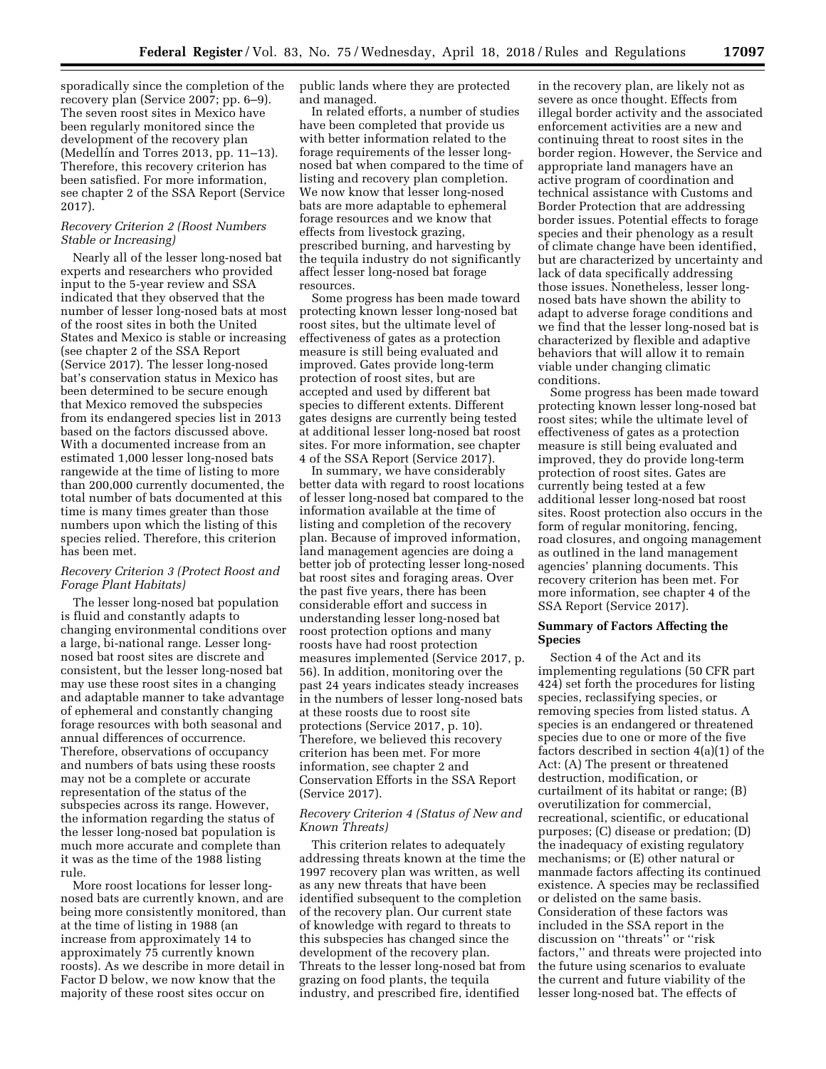sporadically since the completion of the recovery plan (Service 2007; pp. 6–9). The seven roost sites in Mexico have been regularly monitored since the development of the recovery plan (Medellin and Torres 2013, pp. 11–13). Therefore, this recovery criterion has been satisfied. For more information, see chapter 2 of the SSA Report (Service 2017).

#### *Recovery Criterion 2 (Roost Numbers Stable or Increasing)*

Nearly all of the lesser long-nosed bat experts and researchers who provided input to the 5-year review and SSA indicated that they observed that the number of lesser long-nosed bats at most of the roost sites in both the United States and Mexico is stable or increasing (see chapter 2 of the SSA Report (Service 2017). The lesser long-nosed bat's conservation status in Mexico has been determined to be secure enough that Mexico removed the subspecies from its endangered species list in 2013 based on the factors discussed above. With a documented increase from an estimated 1,000 lesser long-nosed bats rangewide at the time of listing to more than 200,000 currently documented, the total number of bats documented at this time is many times greater than those numbers upon which the listing of this species relied. Therefore, this criterion has been met.

# *Recovery Criterion 3 (Protect Roost and Forage Plant Habitats)*

The lesser long-nosed bat population is fluid and constantly adapts to changing environmental conditions over a large, bi-national range. Lesser longnosed bat roost sites are discrete and consistent, but the lesser long-nosed bat may use these roost sites in a changing and adaptable manner to take advantage of ephemeral and constantly changing forage resources with both seasonal and annual differences of occurrence. Therefore, observations of occupancy and numbers of bats using these roosts may not be a complete or accurate representation of the status of the subspecies across its range. However, the information regarding the status of the lesser long-nosed bat population is much more accurate and complete than it was as the time of the 1988 listing rule.

More roost locations for lesser longnosed bats are currently known, and are being more consistently monitored, than at the time of listing in 1988 (an increase from approximately 14 to approximately 75 currently known roosts). As we describe in more detail in Factor D below, we now know that the majority of these roost sites occur on

public lands where they are protected and managed.

In related efforts, a number of studies have been completed that provide us with better information related to the forage requirements of the lesser longnosed bat when compared to the time of listing and recovery plan completion. We now know that lesser long-nosed bats are more adaptable to ephemeral forage resources and we know that effects from livestock grazing, prescribed burning, and harvesting by the tequila industry do not significantly affect lesser long-nosed bat forage resources.

Some progress has been made toward protecting known lesser long-nosed bat roost sites, but the ultimate level of effectiveness of gates as a protection measure is still being evaluated and improved. Gates provide long-term protection of roost sites, but are accepted and used by different bat species to different extents. Different gates designs are currently being tested at additional lesser long-nosed bat roost sites. For more information, see chapter 4 of the SSA Report (Service 2017).

In summary, we have considerably better data with regard to roost locations of lesser long-nosed bat compared to the information available at the time of listing and completion of the recovery plan. Because of improved information, land management agencies are doing a better job of protecting lesser long-nosed bat roost sites and foraging areas. Over the past five years, there has been considerable effort and success in understanding lesser long-nosed bat roost protection options and many roosts have had roost protection measures implemented (Service 2017, p. 56). In addition, monitoring over the past 24 years indicates steady increases in the numbers of lesser long-nosed bats at these roosts due to roost site protections (Service 2017, p. 10). Therefore, we believed this recovery criterion has been met. For more information, see chapter 2 and Conservation Efforts in the SSA Report (Service 2017).

### *Recovery Criterion 4 (Status of New and Known Threats)*

This criterion relates to adequately addressing threats known at the time the 1997 recovery plan was written, as well as any new threats that have been identified subsequent to the completion of the recovery plan. Our current state of knowledge with regard to threats to this subspecies has changed since the development of the recovery plan. Threats to the lesser long-nosed bat from grazing on food plants, the tequila industry, and prescribed fire, identified

in the recovery plan, are likely not as severe as once thought. Effects from illegal border activity and the associated enforcement activities are a new and continuing threat to roost sites in the border region. However, the Service and appropriate land managers have an active program of coordination and technical assistance with Customs and Border Protection that are addressing border issues. Potential effects to forage species and their phenology as a result of climate change have been identified, but are characterized by uncertainty and lack of data specifically addressing those issues. Nonetheless, lesser longnosed bats have shown the ability to adapt to adverse forage conditions and we find that the lesser long-nosed bat is characterized by flexible and adaptive behaviors that will allow it to remain viable under changing climatic conditions.

Some progress has been made toward protecting known lesser long-nosed bat roost sites; while the ultimate level of effectiveness of gates as a protection measure is still being evaluated and improved, they do provide long-term protection of roost sites. Gates are currently being tested at a few additional lesser long-nosed bat roost sites. Roost protection also occurs in the form of regular monitoring, fencing, road closures, and ongoing management as outlined in the land management agencies' planning documents. This recovery criterion has been met. For more information, see chapter 4 of the SSA Report (Service 2017).

### **Summary of Factors Affecting the Species**

Section 4 of the Act and its implementing regulations (50 CFR part 424) set forth the procedures for listing species, reclassifying species, or removing species from listed status. A species is an endangered or threatened species due to one or more of the five factors described in section 4(a)(1) of the Act: (A) The present or threatened destruction, modification, or curtailment of its habitat or range; (B) overutilization for commercial, recreational, scientific, or educational purposes; (C) disease or predation; (D) the inadequacy of existing regulatory mechanisms; or (E) other natural or manmade factors affecting its continued existence. A species may be reclassified or delisted on the same basis. Consideration of these factors was included in the SSA report in the discussion on ''threats'' or ''risk factors,'' and threats were projected into the future using scenarios to evaluate the current and future viability of the lesser long-nosed bat. The effects of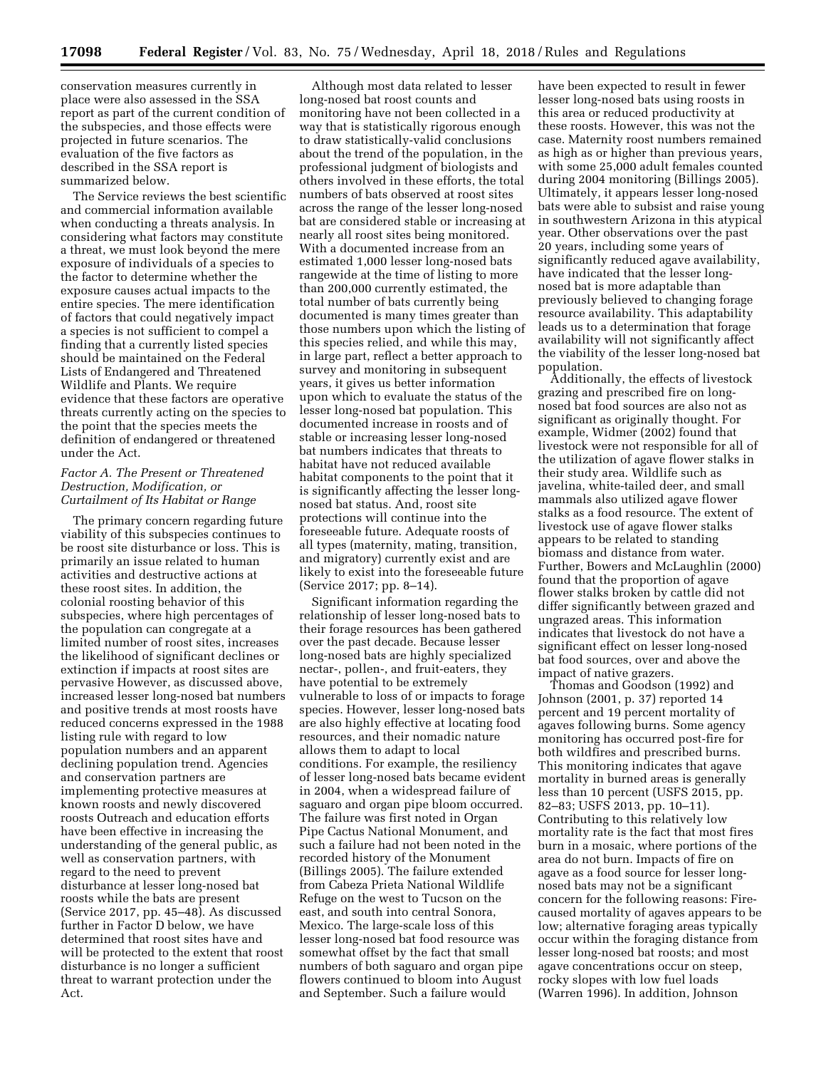conservation measures currently in place were also assessed in the SSA report as part of the current condition of the subspecies, and those effects were projected in future scenarios. The evaluation of the five factors as described in the SSA report is summarized below.

The Service reviews the best scientific and commercial information available when conducting a threats analysis. In considering what factors may constitute a threat, we must look beyond the mere exposure of individuals of a species to the factor to determine whether the exposure causes actual impacts to the entire species. The mere identification of factors that could negatively impact a species is not sufficient to compel a finding that a currently listed species should be maintained on the Federal Lists of Endangered and Threatened Wildlife and Plants. We require evidence that these factors are operative threats currently acting on the species to the point that the species meets the definition of endangered or threatened under the Act.

# *Factor A. The Present or Threatened Destruction, Modification, or Curtailment of Its Habitat or Range*

The primary concern regarding future viability of this subspecies continues to be roost site disturbance or loss. This is primarily an issue related to human activities and destructive actions at these roost sites. In addition, the colonial roosting behavior of this subspecies, where high percentages of the population can congregate at a limited number of roost sites, increases the likelihood of significant declines or extinction if impacts at roost sites are pervasive However, as discussed above, increased lesser long-nosed bat numbers and positive trends at most roosts have reduced concerns expressed in the 1988 listing rule with regard to low population numbers and an apparent declining population trend. Agencies and conservation partners are implementing protective measures at known roosts and newly discovered roosts Outreach and education efforts have been effective in increasing the understanding of the general public, as well as conservation partners, with regard to the need to prevent disturbance at lesser long-nosed bat roosts while the bats are present (Service 2017, pp. 45–48). As discussed further in Factor D below, we have determined that roost sites have and will be protected to the extent that roost disturbance is no longer a sufficient threat to warrant protection under the Act.

Although most data related to lesser long-nosed bat roost counts and monitoring have not been collected in a way that is statistically rigorous enough to draw statistically-valid conclusions about the trend of the population, in the professional judgment of biologists and others involved in these efforts, the total numbers of bats observed at roost sites across the range of the lesser long-nosed bat are considered stable or increasing at nearly all roost sites being monitored. With a documented increase from an estimated 1,000 lesser long-nosed bats rangewide at the time of listing to more than 200,000 currently estimated, the total number of bats currently being documented is many times greater than those numbers upon which the listing of this species relied, and while this may, in large part, reflect a better approach to survey and monitoring in subsequent years, it gives us better information upon which to evaluate the status of the lesser long-nosed bat population. This documented increase in roosts and of stable or increasing lesser long-nosed bat numbers indicates that threats to habitat have not reduced available habitat components to the point that it is significantly affecting the lesser longnosed bat status. And, roost site protections will continue into the foreseeable future. Adequate roosts of all types (maternity, mating, transition, and migratory) currently exist and are likely to exist into the foreseeable future (Service 2017; pp. 8–14).

Significant information regarding the relationship of lesser long-nosed bats to their forage resources has been gathered over the past decade. Because lesser long-nosed bats are highly specialized nectar-, pollen-, and fruit-eaters, they have potential to be extremely vulnerable to loss of or impacts to forage species. However, lesser long-nosed bats are also highly effective at locating food resources, and their nomadic nature allows them to adapt to local conditions. For example, the resiliency of lesser long-nosed bats became evident in 2004, when a widespread failure of saguaro and organ pipe bloom occurred. The failure was first noted in Organ Pipe Cactus National Monument, and such a failure had not been noted in the recorded history of the Monument (Billings 2005). The failure extended from Cabeza Prieta National Wildlife Refuge on the west to Tucson on the east, and south into central Sonora, Mexico. The large-scale loss of this lesser long-nosed bat food resource was somewhat offset by the fact that small numbers of both saguaro and organ pipe flowers continued to bloom into August and September. Such a failure would

have been expected to result in fewer lesser long-nosed bats using roosts in this area or reduced productivity at these roosts. However, this was not the case. Maternity roost numbers remained as high as or higher than previous years, with some 25,000 adult females counted during 2004 monitoring (Billings 2005). Ultimately, it appears lesser long-nosed bats were able to subsist and raise young in southwestern Arizona in this atypical year. Other observations over the past 20 years, including some years of significantly reduced agave availability, have indicated that the lesser longnosed bat is more adaptable than previously believed to changing forage resource availability. This adaptability leads us to a determination that forage availability will not significantly affect the viability of the lesser long-nosed bat population.

Additionally, the effects of livestock grazing and prescribed fire on longnosed bat food sources are also not as significant as originally thought. For example, Widmer (2002) found that livestock were not responsible for all of the utilization of agave flower stalks in their study area. Wildlife such as javelina, white-tailed deer, and small mammals also utilized agave flower stalks as a food resource. The extent of livestock use of agave flower stalks appears to be related to standing biomass and distance from water. Further, Bowers and McLaughlin (2000) found that the proportion of agave flower stalks broken by cattle did not differ significantly between grazed and ungrazed areas. This information indicates that livestock do not have a significant effect on lesser long-nosed bat food sources, over and above the impact of native grazers.

Thomas and Goodson (1992) and Johnson (2001, p. 37) reported 14 percent and 19 percent mortality of agaves following burns. Some agency monitoring has occurred post-fire for both wildfires and prescribed burns. This monitoring indicates that agave mortality in burned areas is generally less than 10 percent (USFS 2015, pp. 82–83; USFS 2013, pp. 10–11). Contributing to this relatively low mortality rate is the fact that most fires burn in a mosaic, where portions of the area do not burn. Impacts of fire on agave as a food source for lesser longnosed bats may not be a significant concern for the following reasons: Firecaused mortality of agaves appears to be low; alternative foraging areas typically occur within the foraging distance from lesser long-nosed bat roosts; and most agave concentrations occur on steep, rocky slopes with low fuel loads (Warren 1996). In addition, Johnson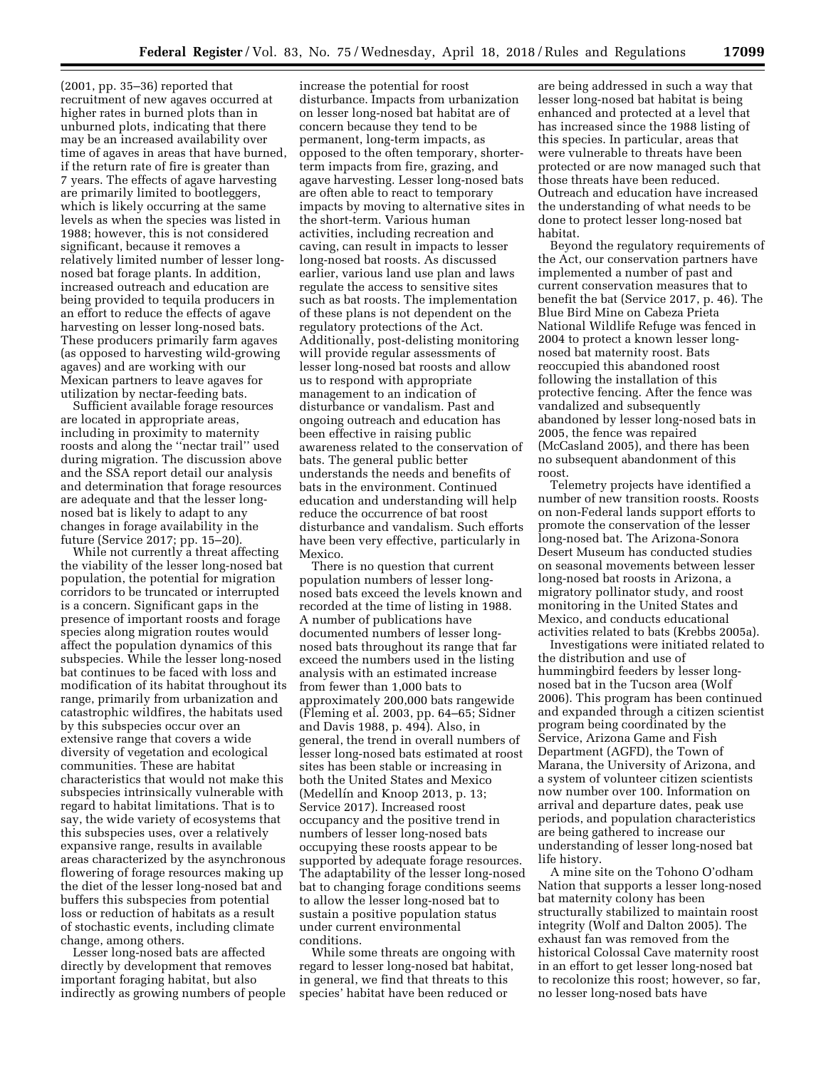(2001, pp. 35–36) reported that recruitment of new agaves occurred at higher rates in burned plots than in unburned plots, indicating that there may be an increased availability over time of agaves in areas that have burned, if the return rate of fire is greater than 7 years. The effects of agave harvesting are primarily limited to bootleggers, which is likely occurring at the same levels as when the species was listed in 1988; however, this is not considered significant, because it removes a relatively limited number of lesser longnosed bat forage plants. In addition, increased outreach and education are being provided to tequila producers in an effort to reduce the effects of agave harvesting on lesser long-nosed bats. These producers primarily farm agaves (as opposed to harvesting wild-growing agaves) and are working with our Mexican partners to leave agaves for utilization by nectar-feeding bats.

Sufficient available forage resources are located in appropriate areas, including in proximity to maternity roosts and along the ''nectar trail'' used during migration. The discussion above and the SSA report detail our analysis and determination that forage resources are adequate and that the lesser longnosed bat is likely to adapt to any changes in forage availability in the future (Service 2017; pp. 15–20).

While not currently a threat affecting the viability of the lesser long-nosed bat population, the potential for migration corridors to be truncated or interrupted is a concern. Significant gaps in the presence of important roosts and forage species along migration routes would affect the population dynamics of this subspecies. While the lesser long-nosed bat continues to be faced with loss and modification of its habitat throughout its range, primarily from urbanization and catastrophic wildfires, the habitats used by this subspecies occur over an extensive range that covers a wide diversity of vegetation and ecological communities. These are habitat characteristics that would not make this subspecies intrinsically vulnerable with regard to habitat limitations. That is to say, the wide variety of ecosystems that this subspecies uses, over a relatively expansive range, results in available areas characterized by the asynchronous flowering of forage resources making up the diet of the lesser long-nosed bat and buffers this subspecies from potential loss or reduction of habitats as a result of stochastic events, including climate change, among others.

Lesser long-nosed bats are affected directly by development that removes important foraging habitat, but also indirectly as growing numbers of people

increase the potential for roost disturbance. Impacts from urbanization on lesser long-nosed bat habitat are of concern because they tend to be permanent, long-term impacts, as opposed to the often temporary, shorterterm impacts from fire, grazing, and agave harvesting. Lesser long-nosed bats are often able to react to temporary impacts by moving to alternative sites in the short-term. Various human activities, including recreation and caving, can result in impacts to lesser long-nosed bat roosts. As discussed earlier, various land use plan and laws regulate the access to sensitive sites such as bat roosts. The implementation of these plans is not dependent on the regulatory protections of the Act. Additionally, post-delisting monitoring will provide regular assessments of lesser long-nosed bat roosts and allow us to respond with appropriate management to an indication of disturbance or vandalism. Past and ongoing outreach and education has been effective in raising public awareness related to the conservation of bats. The general public better understands the needs and benefits of bats in the environment. Continued education and understanding will help reduce the occurrence of bat roost disturbance and vandalism. Such efforts have been very effective, particularly in Mexico.

There is no question that current population numbers of lesser longnosed bats exceed the levels known and recorded at the time of listing in 1988. A number of publications have documented numbers of lesser longnosed bats throughout its range that far exceed the numbers used in the listing analysis with an estimated increase from fewer than 1,000 bats to approximately 200,000 bats rangewide (Fleming et al. 2003, pp. 64–65; Sidner and Davis 1988, p. 494). Also, in general, the trend in overall numbers of lesser long-nosed bats estimated at roost sites has been stable or increasing in both the United States and Mexico (Medellín and Knoop 2013, p. 13; Service 2017). Increased roost occupancy and the positive trend in numbers of lesser long-nosed bats occupying these roosts appear to be supported by adequate forage resources. The adaptability of the lesser long-nosed bat to changing forage conditions seems to allow the lesser long-nosed bat to sustain a positive population status under current environmental conditions.

While some threats are ongoing with regard to lesser long-nosed bat habitat, in general, we find that threats to this species' habitat have been reduced or

are being addressed in such a way that lesser long-nosed bat habitat is being enhanced and protected at a level that has increased since the 1988 listing of this species. In particular, areas that were vulnerable to threats have been protected or are now managed such that those threats have been reduced. Outreach and education have increased the understanding of what needs to be done to protect lesser long-nosed bat habitat.

Beyond the regulatory requirements of the Act, our conservation partners have implemented a number of past and current conservation measures that to benefit the bat (Service 2017, p. 46). The Blue Bird Mine on Cabeza Prieta National Wildlife Refuge was fenced in 2004 to protect a known lesser longnosed bat maternity roost. Bats reoccupied this abandoned roost following the installation of this protective fencing. After the fence was vandalized and subsequently abandoned by lesser long-nosed bats in 2005, the fence was repaired (McCasland 2005), and there has been no subsequent abandonment of this roost.

Telemetry projects have identified a number of new transition roosts. Roosts on non-Federal lands support efforts to promote the conservation of the lesser long-nosed bat. The Arizona-Sonora Desert Museum has conducted studies on seasonal movements between lesser long-nosed bat roosts in Arizona, a migratory pollinator study, and roost monitoring in the United States and Mexico, and conducts educational activities related to bats (Krebbs 2005a).

Investigations were initiated related to the distribution and use of hummingbird feeders by lesser longnosed bat in the Tucson area (Wolf 2006). This program has been continued and expanded through a citizen scientist program being coordinated by the Service, Arizona Game and Fish Department (AGFD), the Town of Marana, the University of Arizona, and a system of volunteer citizen scientists now number over 100. Information on arrival and departure dates, peak use periods, and population characteristics are being gathered to increase our understanding of lesser long-nosed bat life history.

A mine site on the Tohono O'odham Nation that supports a lesser long-nosed bat maternity colony has been structurally stabilized to maintain roost integrity (Wolf and Dalton 2005). The exhaust fan was removed from the historical Colossal Cave maternity roost in an effort to get lesser long-nosed bat to recolonize this roost; however, so far, no lesser long-nosed bats have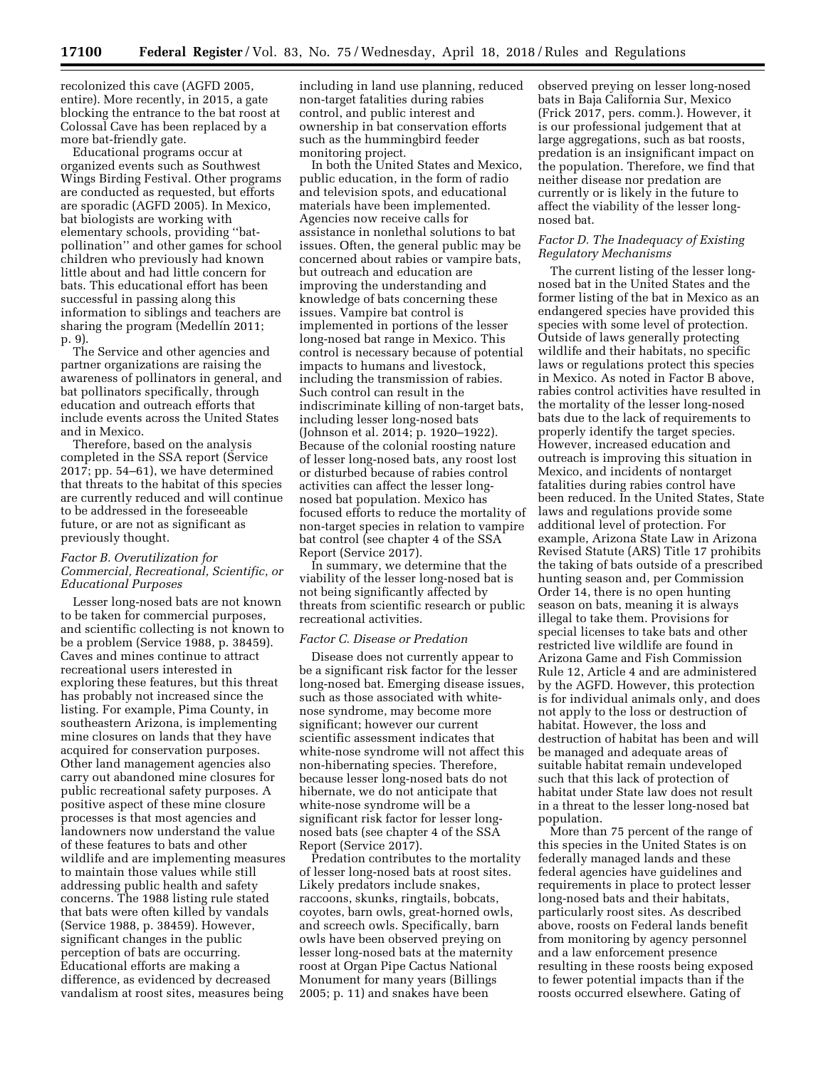recolonized this cave (AGFD 2005, entire). More recently, in 2015, a gate blocking the entrance to the bat roost at Colossal Cave has been replaced by a more bat-friendly gate.

Educational programs occur at organized events such as Southwest Wings Birding Festival. Other programs are conducted as requested, but efforts are sporadic (AGFD 2005). In Mexico, bat biologists are working with elementary schools, providing ''batpollination'' and other games for school children who previously had known little about and had little concern for bats. This educational effort has been successful in passing along this information to siblings and teachers are sharing the program (Medellín 2011; p. 9).

The Service and other agencies and partner organizations are raising the awareness of pollinators in general, and bat pollinators specifically, through education and outreach efforts that include events across the United States and in Mexico.

Therefore, based on the analysis completed in the SSA report (Service 2017; pp. 54–61), we have determined that threats to the habitat of this species are currently reduced and will continue to be addressed in the foreseeable future, or are not as significant as previously thought.

## *Factor B. Overutilization for Commercial, Recreational, Scientific, or Educational Purposes*

Lesser long-nosed bats are not known to be taken for commercial purposes, and scientific collecting is not known to be a problem (Service 1988, p. 38459). Caves and mines continue to attract recreational users interested in exploring these features, but this threat has probably not increased since the listing. For example, Pima County, in southeastern Arizona, is implementing mine closures on lands that they have acquired for conservation purposes. Other land management agencies also carry out abandoned mine closures for public recreational safety purposes. A positive aspect of these mine closure processes is that most agencies and landowners now understand the value of these features to bats and other wildlife and are implementing measures to maintain those values while still addressing public health and safety concerns. The 1988 listing rule stated that bats were often killed by vandals (Service 1988, p. 38459). However, significant changes in the public perception of bats are occurring. Educational efforts are making a difference, as evidenced by decreased vandalism at roost sites, measures being

including in land use planning, reduced non-target fatalities during rabies control, and public interest and ownership in bat conservation efforts such as the hummingbird feeder monitoring project.

In both the United States and Mexico, public education, in the form of radio and television spots, and educational materials have been implemented. Agencies now receive calls for assistance in nonlethal solutions to bat issues. Often, the general public may be concerned about rabies or vampire bats, but outreach and education are improving the understanding and knowledge of bats concerning these issues. Vampire bat control is implemented in portions of the lesser long-nosed bat range in Mexico. This control is necessary because of potential impacts to humans and livestock, including the transmission of rabies. Such control can result in the indiscriminate killing of non-target bats, including lesser long-nosed bats (Johnson et al. 2014; p. 1920–1922). Because of the colonial roosting nature of lesser long-nosed bats, any roost lost or disturbed because of rabies control activities can affect the lesser longnosed bat population. Mexico has focused efforts to reduce the mortality of non-target species in relation to vampire bat control (see chapter 4 of the SSA Report (Service 2017).

In summary, we determine that the viability of the lesser long-nosed bat is not being significantly affected by threats from scientific research or public recreational activities.

# *Factor C. Disease or Predation*

Disease does not currently appear to be a significant risk factor for the lesser long-nosed bat. Emerging disease issues, such as those associated with whitenose syndrome, may become more significant; however our current scientific assessment indicates that white-nose syndrome will not affect this non-hibernating species. Therefore, because lesser long-nosed bats do not hibernate, we do not anticipate that white-nose syndrome will be a significant risk factor for lesser longnosed bats (see chapter 4 of the SSA Report (Service 2017).

Predation contributes to the mortality of lesser long-nosed bats at roost sites. Likely predators include snakes, raccoons, skunks, ringtails, bobcats, coyotes, barn owls, great-horned owls, and screech owls. Specifically, barn owls have been observed preying on lesser long-nosed bats at the maternity roost at Organ Pipe Cactus National Monument for many years (Billings 2005; p. 11) and snakes have been

observed preying on lesser long-nosed bats in Baja California Sur, Mexico (Frick 2017, pers. comm.). However, it is our professional judgement that at large aggregations, such as bat roosts, predation is an insignificant impact on the population. Therefore, we find that neither disease nor predation are currently or is likely in the future to affect the viability of the lesser longnosed bat.

## *Factor D. The Inadequacy of Existing Regulatory Mechanisms*

The current listing of the lesser longnosed bat in the United States and the former listing of the bat in Mexico as an endangered species have provided this species with some level of protection. Outside of laws generally protecting wildlife and their habitats, no specific laws or regulations protect this species in Mexico. As noted in Factor B above, rabies control activities have resulted in the mortality of the lesser long-nosed bats due to the lack of requirements to properly identify the target species. However, increased education and outreach is improving this situation in Mexico, and incidents of nontarget fatalities during rabies control have been reduced. In the United States, State laws and regulations provide some additional level of protection. For example, Arizona State Law in Arizona Revised Statute (ARS) Title 17 prohibits the taking of bats outside of a prescribed hunting season and, per Commission Order 14, there is no open hunting season on bats, meaning it is always illegal to take them. Provisions for special licenses to take bats and other restricted live wildlife are found in Arizona Game and Fish Commission Rule 12, Article 4 and are administered by the AGFD. However, this protection is for individual animals only, and does not apply to the loss or destruction of habitat. However, the loss and destruction of habitat has been and will be managed and adequate areas of suitable habitat remain undeveloped such that this lack of protection of habitat under State law does not result in a threat to the lesser long-nosed bat population.

More than 75 percent of the range of this species in the United States is on federally managed lands and these federal agencies have guidelines and requirements in place to protect lesser long-nosed bats and their habitats, particularly roost sites. As described above, roosts on Federal lands benefit from monitoring by agency personnel and a law enforcement presence resulting in these roosts being exposed to fewer potential impacts than if the roosts occurred elsewhere. Gating of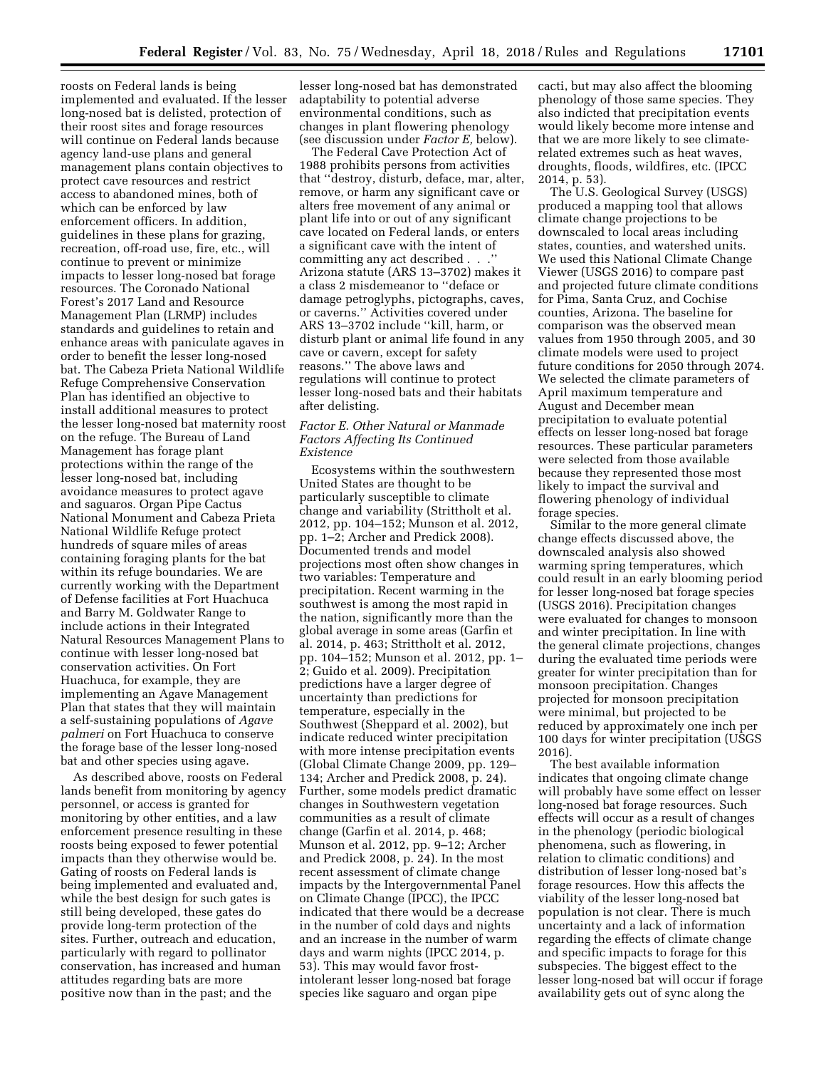roosts on Federal lands is being implemented and evaluated. If the lesser long-nosed bat is delisted, protection of their roost sites and forage resources will continue on Federal lands because agency land-use plans and general management plans contain objectives to protect cave resources and restrict access to abandoned mines, both of which can be enforced by law enforcement officers. In addition, guidelines in these plans for grazing, recreation, off-road use, fire, etc., will continue to prevent or minimize impacts to lesser long-nosed bat forage resources. The Coronado National Forest's 2017 Land and Resource Management Plan (LRMP) includes standards and guidelines to retain and enhance areas with paniculate agaves in order to benefit the lesser long-nosed bat. The Cabeza Prieta National Wildlife Refuge Comprehensive Conservation Plan has identified an objective to install additional measures to protect the lesser long-nosed bat maternity roost on the refuge. The Bureau of Land Management has forage plant protections within the range of the lesser long-nosed bat, including avoidance measures to protect agave and saguaros. Organ Pipe Cactus National Monument and Cabeza Prieta National Wildlife Refuge protect hundreds of square miles of areas containing foraging plants for the bat within its refuge boundaries. We are currently working with the Department of Defense facilities at Fort Huachuca and Barry M. Goldwater Range to include actions in their Integrated Natural Resources Management Plans to continue with lesser long-nosed bat conservation activities. On Fort Huachuca, for example, they are implementing an Agave Management Plan that states that they will maintain a self-sustaining populations of *Agave palmeri* on Fort Huachuca to conserve the forage base of the lesser long-nosed bat and other species using agave.

As described above, roosts on Federal lands benefit from monitoring by agency personnel, or access is granted for monitoring by other entities, and a law enforcement presence resulting in these roosts being exposed to fewer potential impacts than they otherwise would be. Gating of roosts on Federal lands is being implemented and evaluated and, while the best design for such gates is still being developed, these gates do provide long-term protection of the sites. Further, outreach and education, particularly with regard to pollinator conservation, has increased and human attitudes regarding bats are more positive now than in the past; and the

lesser long-nosed bat has demonstrated adaptability to potential adverse environmental conditions, such as changes in plant flowering phenology (see discussion under *Factor E,* below).

The Federal Cave Protection Act of 1988 prohibits persons from activities that ''destroy, disturb, deface, mar, alter, remove, or harm any significant cave or alters free movement of any animal or plant life into or out of any significant cave located on Federal lands, or enters a significant cave with the intent of committing any act described . . .'' Arizona statute (ARS 13–3702) makes it a class 2 misdemeanor to ''deface or damage petroglyphs, pictographs, caves, or caverns.'' Activities covered under ARS 13–3702 include ''kill, harm, or disturb plant or animal life found in any cave or cavern, except for safety reasons.'' The above laws and regulations will continue to protect lesser long-nosed bats and their habitats after delisting.

#### *Factor E. Other Natural or Manmade Factors Affecting Its Continued Existence*

Ecosystems within the southwestern United States are thought to be particularly susceptible to climate change and variability (Strittholt et al. 2012, pp. 104–152; Munson et al. 2012, pp. 1–2; Archer and Predick 2008). Documented trends and model projections most often show changes in two variables: Temperature and precipitation. Recent warming in the southwest is among the most rapid in the nation, significantly more than the global average in some areas (Garfin et al. 2014, p. 463; Strittholt et al. 2012, pp. 104–152; Munson et al. 2012, pp. 1– 2; Guido et al. 2009). Precipitation predictions have a larger degree of uncertainty than predictions for temperature, especially in the Southwest (Sheppard et al. 2002), but indicate reduced winter precipitation with more intense precipitation events (Global Climate Change 2009, pp. 129– 134; Archer and Predick 2008, p. 24). Further, some models predict dramatic changes in Southwestern vegetation communities as a result of climate change (Garfin et al. 2014, p. 468; Munson et al. 2012, pp. 9–12; Archer and Predick 2008, p. 24). In the most recent assessment of climate change impacts by the Intergovernmental Panel on Climate Change (IPCC), the IPCC indicated that there would be a decrease in the number of cold days and nights and an increase in the number of warm days and warm nights (IPCC 2014, p. 53). This may would favor frostintolerant lesser long-nosed bat forage species like saguaro and organ pipe

cacti, but may also affect the blooming phenology of those same species. They also indicted that precipitation events would likely become more intense and that we are more likely to see climaterelated extremes such as heat waves, droughts, floods, wildfires, etc. (IPCC 2014, p. 53).

The U.S. Geological Survey (USGS) produced a mapping tool that allows climate change projections to be downscaled to local areas including states, counties, and watershed units. We used this National Climate Change Viewer (USGS 2016) to compare past and projected future climate conditions for Pima, Santa Cruz, and Cochise counties, Arizona. The baseline for comparison was the observed mean values from 1950 through 2005, and 30 climate models were used to project future conditions for 2050 through 2074. We selected the climate parameters of April maximum temperature and August and December mean precipitation to evaluate potential effects on lesser long-nosed bat forage resources. These particular parameters were selected from those available because they represented those most likely to impact the survival and flowering phenology of individual forage species.

Similar to the more general climate change effects discussed above, the downscaled analysis also showed warming spring temperatures, which could result in an early blooming period for lesser long-nosed bat forage species (USGS 2016). Precipitation changes were evaluated for changes to monsoon and winter precipitation. In line with the general climate projections, changes during the evaluated time periods were greater for winter precipitation than for monsoon precipitation. Changes projected for monsoon precipitation were minimal, but projected to be reduced by approximately one inch per 100 days for winter precipitation (USGS 2016).

The best available information indicates that ongoing climate change will probably have some effect on lesser long-nosed bat forage resources. Such effects will occur as a result of changes in the phenology (periodic biological phenomena, such as flowering, in relation to climatic conditions) and distribution of lesser long-nosed bat's forage resources. How this affects the viability of the lesser long-nosed bat population is not clear. There is much uncertainty and a lack of information regarding the effects of climate change and specific impacts to forage for this subspecies. The biggest effect to the lesser long-nosed bat will occur if forage availability gets out of sync along the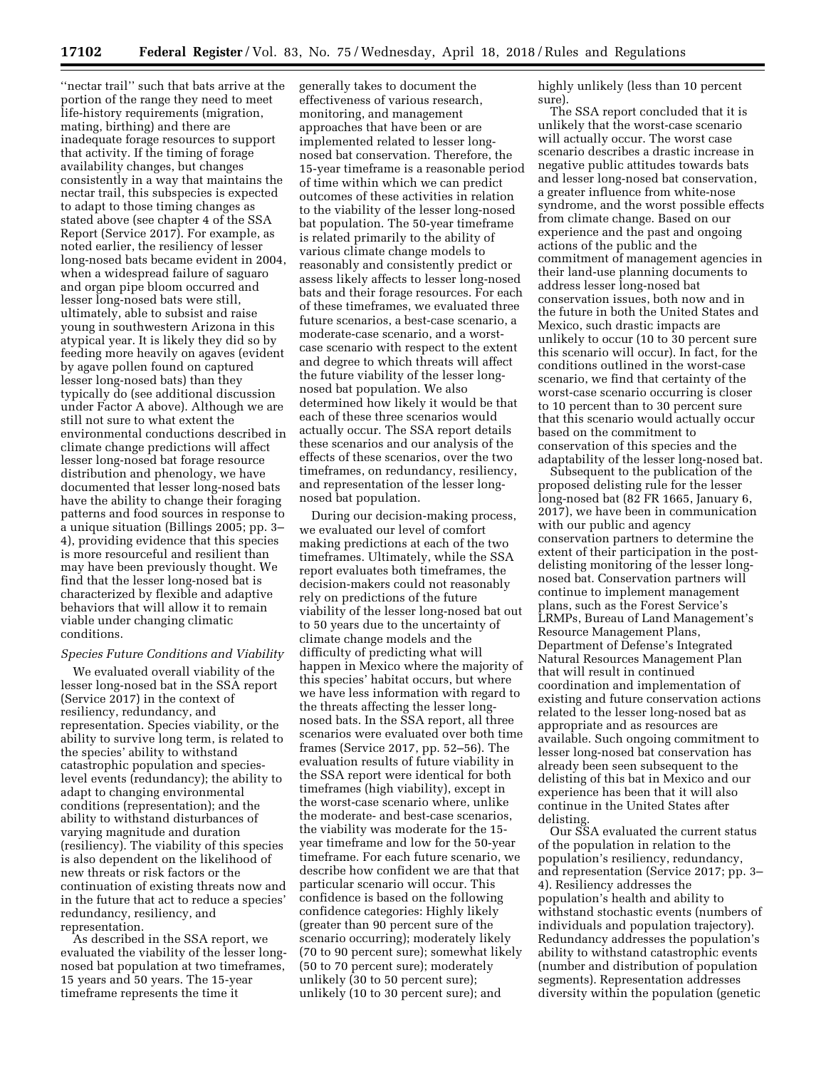''nectar trail'' such that bats arrive at the portion of the range they need to meet life-history requirements (migration, mating, birthing) and there are inadequate forage resources to support that activity. If the timing of forage availability changes, but changes consistently in a way that maintains the nectar trail, this subspecies is expected to adapt to those timing changes as stated above (see chapter 4 of the SSA Report (Service 2017). For example, as noted earlier, the resiliency of lesser long-nosed bats became evident in 2004, when a widespread failure of saguaro and organ pipe bloom occurred and lesser long-nosed bats were still, ultimately, able to subsist and raise young in southwestern Arizona in this atypical year. It is likely they did so by feeding more heavily on agaves (evident by agave pollen found on captured lesser long-nosed bats) than they typically do (see additional discussion under Factor A above). Although we are still not sure to what extent the environmental conductions described in climate change predictions will affect lesser long-nosed bat forage resource distribution and phenology, we have documented that lesser long-nosed bats have the ability to change their foraging patterns and food sources in response to a unique situation (Billings 2005; pp. 3– 4), providing evidence that this species is more resourceful and resilient than may have been previously thought. We find that the lesser long-nosed bat is characterized by flexible and adaptive behaviors that will allow it to remain viable under changing climatic conditions.

#### *Species Future Conditions and Viability*

We evaluated overall viability of the lesser long-nosed bat in the SSA report (Service 2017) in the context of resiliency, redundancy, and representation. Species viability, or the ability to survive long term, is related to the species' ability to withstand catastrophic population and specieslevel events (redundancy); the ability to adapt to changing environmental conditions (representation); and the ability to withstand disturbances of varying magnitude and duration (resiliency). The viability of this species is also dependent on the likelihood of new threats or risk factors or the continuation of existing threats now and in the future that act to reduce a species' redundancy, resiliency, and representation.

As described in the SSA report, we evaluated the viability of the lesser longnosed bat population at two timeframes, 15 years and 50 years. The 15-year timeframe represents the time it

generally takes to document the effectiveness of various research, monitoring, and management approaches that have been or are implemented related to lesser longnosed bat conservation. Therefore, the 15-year timeframe is a reasonable period of time within which we can predict outcomes of these activities in relation to the viability of the lesser long-nosed bat population. The 50-year timeframe is related primarily to the ability of various climate change models to reasonably and consistently predict or assess likely affects to lesser long-nosed bats and their forage resources. For each of these timeframes, we evaluated three future scenarios, a best-case scenario, a moderate-case scenario, and a worstcase scenario with respect to the extent and degree to which threats will affect the future viability of the lesser longnosed bat population. We also determined how likely it would be that each of these three scenarios would actually occur. The SSA report details these scenarios and our analysis of the effects of these scenarios, over the two timeframes, on redundancy, resiliency, and representation of the lesser longnosed bat population.

During our decision-making process, we evaluated our level of comfort making predictions at each of the two timeframes. Ultimately, while the SSA report evaluates both timeframes, the decision-makers could not reasonably rely on predictions of the future viability of the lesser long-nosed bat out to 50 years due to the uncertainty of climate change models and the difficulty of predicting what will happen in Mexico where the majority of this species' habitat occurs, but where we have less information with regard to the threats affecting the lesser longnosed bats. In the SSA report, all three scenarios were evaluated over both time frames (Service 2017, pp. 52–56). The evaluation results of future viability in the SSA report were identical for both timeframes (high viability), except in the worst-case scenario where, unlike the moderate- and best-case scenarios, the viability was moderate for the 15 year timeframe and low for the 50-year timeframe. For each future scenario, we describe how confident we are that that particular scenario will occur. This confidence is based on the following confidence categories: Highly likely (greater than 90 percent sure of the scenario occurring); moderately likely (70 to 90 percent sure); somewhat likely (50 to 70 percent sure); moderately unlikely (30 to 50 percent sure); unlikely (10 to 30 percent sure); and

highly unlikely (less than 10 percent sure).

The SSA report concluded that it is unlikely that the worst-case scenario will actually occur. The worst case scenario describes a drastic increase in negative public attitudes towards bats and lesser long-nosed bat conservation, a greater influence from white-nose syndrome, and the worst possible effects from climate change. Based on our experience and the past and ongoing actions of the public and the commitment of management agencies in their land-use planning documents to address lesser long-nosed bat conservation issues, both now and in the future in both the United States and Mexico, such drastic impacts are unlikely to occur (10 to 30 percent sure this scenario will occur). In fact, for the conditions outlined in the worst-case scenario, we find that certainty of the worst-case scenario occurring is closer to 10 percent than to 30 percent sure that this scenario would actually occur based on the commitment to conservation of this species and the adaptability of the lesser long-nosed bat.

Subsequent to the publication of the proposed delisting rule for the lesser long-nosed bat (82 FR 1665, January 6, 2017), we have been in communication with our public and agency conservation partners to determine the extent of their participation in the postdelisting monitoring of the lesser longnosed bat. Conservation partners will continue to implement management plans, such as the Forest Service's LRMPs, Bureau of Land Management's Resource Management Plans, Department of Defense's Integrated Natural Resources Management Plan that will result in continued coordination and implementation of existing and future conservation actions related to the lesser long-nosed bat as appropriate and as resources are available. Such ongoing commitment to lesser long-nosed bat conservation has already been seen subsequent to the delisting of this bat in Mexico and our experience has been that it will also continue in the United States after delisting.

Our SSA evaluated the current status of the population in relation to the population's resiliency, redundancy, and representation (Service 2017; pp. 3– 4). Resiliency addresses the population's health and ability to withstand stochastic events (numbers of individuals and population trajectory). Redundancy addresses the population's ability to withstand catastrophic events (number and distribution of population segments). Representation addresses diversity within the population (genetic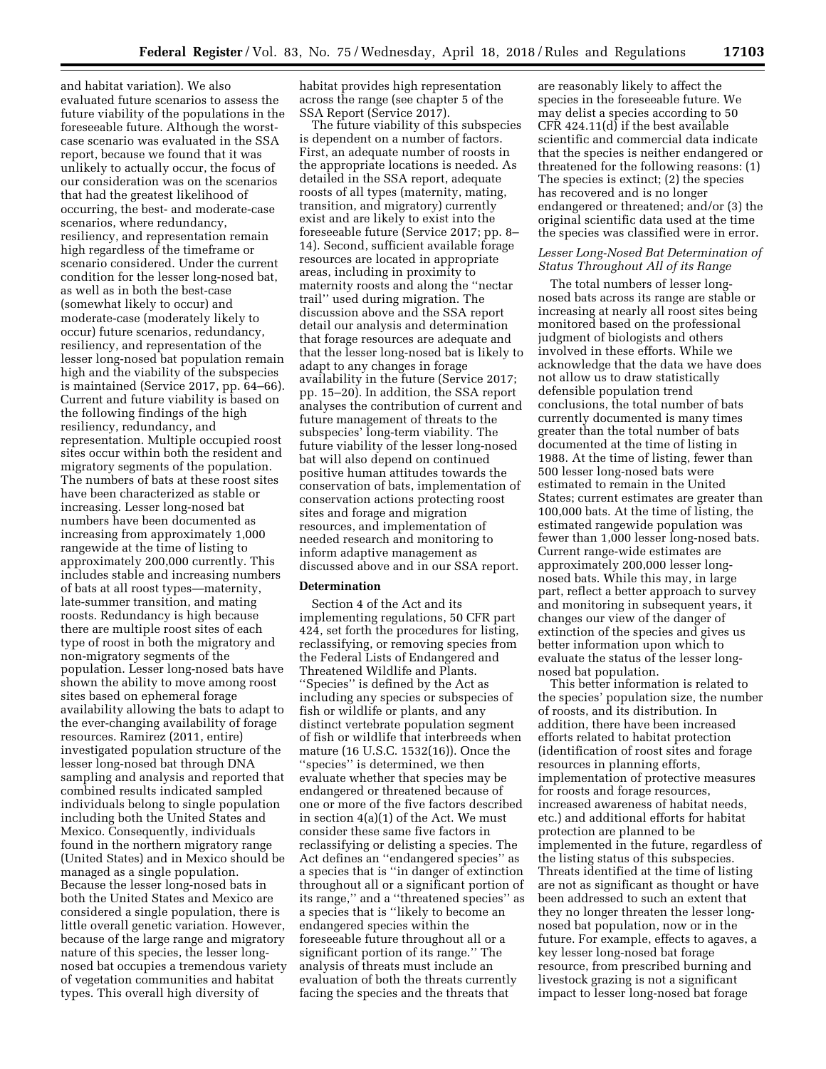and habitat variation). We also evaluated future scenarios to assess the future viability of the populations in the foreseeable future. Although the worstcase scenario was evaluated in the SSA report, because we found that it was unlikely to actually occur, the focus of our consideration was on the scenarios that had the greatest likelihood of occurring, the best- and moderate-case scenarios, where redundancy, resiliency, and representation remain high regardless of the timeframe or scenario considered. Under the current condition for the lesser long-nosed bat, as well as in both the best-case (somewhat likely to occur) and moderate-case (moderately likely to occur) future scenarios, redundancy, resiliency, and representation of the lesser long-nosed bat population remain high and the viability of the subspecies is maintained (Service 2017, pp. 64–66). Current and future viability is based on the following findings of the high resiliency, redundancy, and representation. Multiple occupied roost sites occur within both the resident and migratory segments of the population. The numbers of bats at these roost sites have been characterized as stable or increasing. Lesser long-nosed bat numbers have been documented as increasing from approximately 1,000 rangewide at the time of listing to approximately 200,000 currently. This includes stable and increasing numbers of bats at all roost types—maternity, late-summer transition, and mating roosts. Redundancy is high because there are multiple roost sites of each type of roost in both the migratory and non-migratory segments of the population. Lesser long-nosed bats have shown the ability to move among roost sites based on ephemeral forage availability allowing the bats to adapt to the ever-changing availability of forage resources. Ramirez (2011, entire) investigated population structure of the lesser long-nosed bat through DNA sampling and analysis and reported that combined results indicated sampled individuals belong to single population including both the United States and Mexico. Consequently, individuals found in the northern migratory range (United States) and in Mexico should be managed as a single population. Because the lesser long-nosed bats in both the United States and Mexico are considered a single population, there is little overall genetic variation. However, because of the large range and migratory nature of this species, the lesser longnosed bat occupies a tremendous variety of vegetation communities and habitat types. This overall high diversity of

habitat provides high representation across the range (see chapter 5 of the SSA Report (Service 2017).

The future viability of this subspecies is dependent on a number of factors. First, an adequate number of roosts in the appropriate locations is needed. As detailed in the SSA report, adequate roosts of all types (maternity, mating, transition, and migratory) currently exist and are likely to exist into the foreseeable future (Service 2017; pp. 8– 14). Second, sufficient available forage resources are located in appropriate areas, including in proximity to maternity roosts and along the ''nectar trail'' used during migration. The discussion above and the SSA report detail our analysis and determination that forage resources are adequate and that the lesser long-nosed bat is likely to adapt to any changes in forage availability in the future (Service 2017; pp. 15–20). In addition, the SSA report analyses the contribution of current and future management of threats to the subspecies' long-term viability. The future viability of the lesser long-nosed bat will also depend on continued positive human attitudes towards the conservation of bats, implementation of conservation actions protecting roost sites and forage and migration resources, and implementation of needed research and monitoring to inform adaptive management as discussed above and in our SSA report.

#### **Determination**

Section 4 of the Act and its implementing regulations, 50 CFR part 424, set forth the procedures for listing, reclassifying, or removing species from the Federal Lists of Endangered and Threatened Wildlife and Plants. ''Species'' is defined by the Act as including any species or subspecies of fish or wildlife or plants, and any distinct vertebrate population segment of fish or wildlife that interbreeds when mature (16 U.S.C. 1532(16)). Once the ''species'' is determined, we then evaluate whether that species may be endangered or threatened because of one or more of the five factors described in section 4(a)(1) of the Act. We must consider these same five factors in reclassifying or delisting a species. The Act defines an ''endangered species'' as a species that is ''in danger of extinction throughout all or a significant portion of its range,'' and a ''threatened species'' as a species that is ''likely to become an endangered species within the foreseeable future throughout all or a significant portion of its range.'' The analysis of threats must include an evaluation of both the threats currently facing the species and the threats that

are reasonably likely to affect the species in the foreseeable future. We may delist a species according to 50 CFR 424.11(d) if the best available scientific and commercial data indicate that the species is neither endangered or threatened for the following reasons: (1) The species is extinct; (2) the species has recovered and is no longer endangered or threatened; and/or (3) the original scientific data used at the time the species was classified were in error.

## *Lesser Long-Nosed Bat Determination of Status Throughout All of its Range*

The total numbers of lesser longnosed bats across its range are stable or increasing at nearly all roost sites being monitored based on the professional judgment of biologists and others involved in these efforts. While we acknowledge that the data we have does not allow us to draw statistically defensible population trend conclusions, the total number of bats currently documented is many times greater than the total number of bats documented at the time of listing in 1988. At the time of listing, fewer than 500 lesser long-nosed bats were estimated to remain in the United States; current estimates are greater than 100,000 bats. At the time of listing, the estimated rangewide population was fewer than 1,000 lesser long-nosed bats. Current range-wide estimates are approximately 200,000 lesser longnosed bats. While this may, in large part, reflect a better approach to survey and monitoring in subsequent years, it changes our view of the danger of extinction of the species and gives us better information upon which to evaluate the status of the lesser longnosed bat population.

This better information is related to the species' population size, the number of roosts, and its distribution. In addition, there have been increased efforts related to habitat protection (identification of roost sites and forage resources in planning efforts, implementation of protective measures for roosts and forage resources, increased awareness of habitat needs, etc.) and additional efforts for habitat protection are planned to be implemented in the future, regardless of the listing status of this subspecies. Threats identified at the time of listing are not as significant as thought or have been addressed to such an extent that they no longer threaten the lesser longnosed bat population, now or in the future. For example, effects to agaves, a key lesser long-nosed bat forage resource, from prescribed burning and livestock grazing is not a significant impact to lesser long-nosed bat forage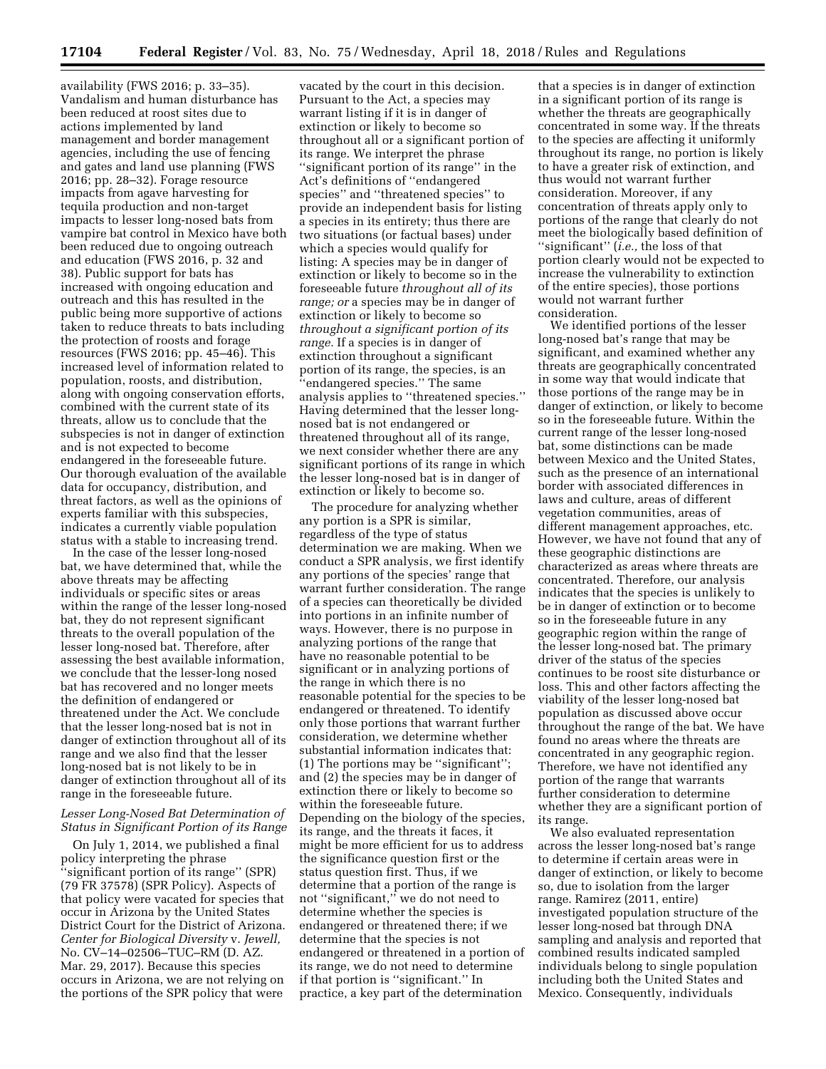availability (FWS 2016; p. 33–35). Vandalism and human disturbance has been reduced at roost sites due to actions implemented by land management and border management agencies, including the use of fencing and gates and land use planning (FWS 2016; pp. 28–32). Forage resource impacts from agave harvesting for tequila production and non-target impacts to lesser long-nosed bats from vampire bat control in Mexico have both been reduced due to ongoing outreach and education (FWS 2016, p. 32 and 38). Public support for bats has increased with ongoing education and outreach and this has resulted in the public being more supportive of actions taken to reduce threats to bats including the protection of roosts and forage resources (FWS 2016; pp. 45–46). This increased level of information related to population, roosts, and distribution, along with ongoing conservation efforts, combined with the current state of its threats, allow us to conclude that the subspecies is not in danger of extinction and is not expected to become endangered in the foreseeable future. Our thorough evaluation of the available data for occupancy, distribution, and threat factors, as well as the opinions of experts familiar with this subspecies, indicates a currently viable population status with a stable to increasing trend.

In the case of the lesser long-nosed bat, we have determined that, while the above threats may be affecting individuals or specific sites or areas within the range of the lesser long-nosed bat, they do not represent significant threats to the overall population of the lesser long-nosed bat. Therefore, after assessing the best available information, we conclude that the lesser-long nosed bat has recovered and no longer meets the definition of endangered or threatened under the Act. We conclude that the lesser long-nosed bat is not in danger of extinction throughout all of its range and we also find that the lesser long-nosed bat is not likely to be in danger of extinction throughout all of its range in the foreseeable future.

### *Lesser Long-Nosed Bat Determination of Status in Significant Portion of its Range*

On July 1, 2014, we published a final policy interpreting the phrase ''significant portion of its range'' (SPR) (79 FR 37578) (SPR Policy). Aspects of that policy were vacated for species that occur in Arizona by the United States District Court for the District of Arizona. *Center for Biological Diversity* v. *Jewell,*  No. CV–14–02506–TUC–RM (D. AZ. Mar. 29, 2017). Because this species occurs in Arizona, we are not relying on the portions of the SPR policy that were

vacated by the court in this decision. Pursuant to the Act, a species may warrant listing if it is in danger of extinction or likely to become so throughout all or a significant portion of its range. We interpret the phrase ''significant portion of its range'' in the Act's definitions of ''endangered species'' and ''threatened species'' to provide an independent basis for listing a species in its entirety; thus there are two situations (or factual bases) under which a species would qualify for listing: A species may be in danger of extinction or likely to become so in the foreseeable future *throughout all of its range; or* a species may be in danger of extinction or likely to become so *throughout a significant portion of its range.* If a species is in danger of extinction throughout a significant portion of its range, the species, is an ''endangered species.'' The same analysis applies to ''threatened species.'' Having determined that the lesser longnosed bat is not endangered or threatened throughout all of its range, we next consider whether there are any significant portions of its range in which the lesser long-nosed bat is in danger of extinction or likely to become so.

The procedure for analyzing whether any portion is a SPR is similar, regardless of the type of status determination we are making. When we conduct a SPR analysis, we first identify any portions of the species' range that warrant further consideration. The range of a species can theoretically be divided into portions in an infinite number of ways. However, there is no purpose in analyzing portions of the range that have no reasonable potential to be significant or in analyzing portions of the range in which there is no reasonable potential for the species to be endangered or threatened. To identify only those portions that warrant further consideration, we determine whether substantial information indicates that: (1) The portions may be ''significant''; and (2) the species may be in danger of extinction there or likely to become so within the foreseeable future. Depending on the biology of the species, its range, and the threats it faces, it might be more efficient for us to address the significance question first or the status question first. Thus, if we determine that a portion of the range is not ''significant,'' we do not need to determine whether the species is endangered or threatened there; if we determine that the species is not endangered or threatened in a portion of its range, we do not need to determine if that portion is ''significant.'' In practice, a key part of the determination

that a species is in danger of extinction in a significant portion of its range is whether the threats are geographically concentrated in some way. If the threats to the species are affecting it uniformly throughout its range, no portion is likely to have a greater risk of extinction, and thus would not warrant further consideration. Moreover, if any concentration of threats apply only to portions of the range that clearly do not meet the biologically based definition of ''significant'' (*i.e.,* the loss of that portion clearly would not be expected to increase the vulnerability to extinction of the entire species), those portions would not warrant further consideration.

We identified portions of the lesser long-nosed bat's range that may be significant, and examined whether any threats are geographically concentrated in some way that would indicate that those portions of the range may be in danger of extinction, or likely to become so in the foreseeable future. Within the current range of the lesser long-nosed bat, some distinctions can be made between Mexico and the United States, such as the presence of an international border with associated differences in laws and culture, areas of different vegetation communities, areas of different management approaches, etc. However, we have not found that any of these geographic distinctions are characterized as areas where threats are concentrated. Therefore, our analysis indicates that the species is unlikely to be in danger of extinction or to become so in the foreseeable future in any geographic region within the range of the lesser long-nosed bat. The primary driver of the status of the species continues to be roost site disturbance or loss. This and other factors affecting the viability of the lesser long-nosed bat population as discussed above occur throughout the range of the bat. We have found no areas where the threats are concentrated in any geographic region. Therefore, we have not identified any portion of the range that warrants further consideration to determine whether they are a significant portion of its range.

We also evaluated representation across the lesser long-nosed bat's range to determine if certain areas were in danger of extinction, or likely to become so, due to isolation from the larger range. Ramirez (2011, entire) investigated population structure of the lesser long-nosed bat through DNA sampling and analysis and reported that combined results indicated sampled individuals belong to single population including both the United States and Mexico. Consequently, individuals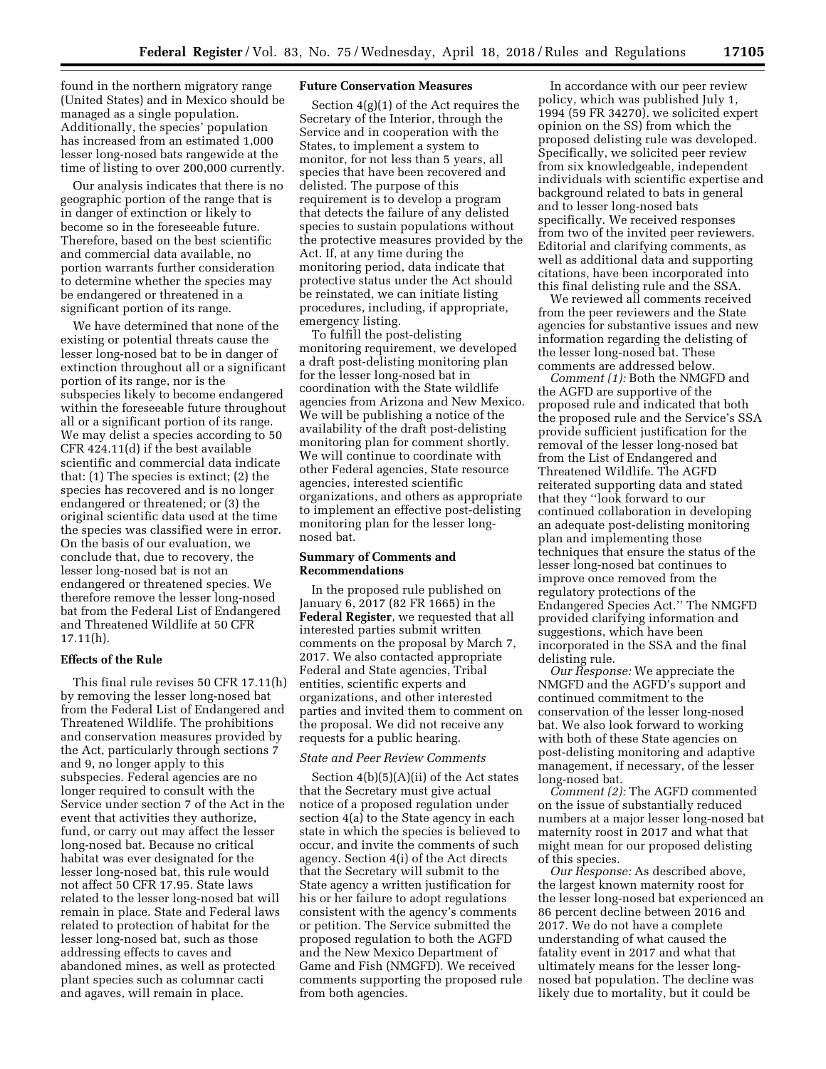found in the northern migratory range (United States) and in Mexico should be managed as a single population. Additionally, the species' population has increased from an estimated 1,000 lesser long-nosed bats rangewide at the time of listing to over 200,000 currently.

Our analysis indicates that there is no geographic portion of the range that is in danger of extinction or likely to become so in the foreseeable future. Therefore, based on the best scientific and commercial data available, no portion warrants further consideration to determine whether the species may be endangered or threatened in a significant portion of its range.

We have determined that none of the existing or potential threats cause the lesser long-nosed bat to be in danger of extinction throughout all or a significant portion of its range, nor is the subspecies likely to become endangered within the foreseeable future throughout all or a significant portion of its range. We may delist a species according to 50 CFR 424.11(d) if the best available scientific and commercial data indicate that: (1) The species is extinct; (2) the species has recovered and is no longer endangered or threatened; or (3) the original scientific data used at the time the species was classified were in error. On the basis of our evaluation, we conclude that, due to recovery, the lesser long-nosed bat is not an endangered or threatened species. We therefore remove the lesser long-nosed bat from the Federal List of Endangered and Threatened Wildlife at 50 CFR 17.11(h).

### **Effects of the Rule**

This final rule revises 50 CFR 17.11(h) by removing the lesser long-nosed bat from the Federal List of Endangered and Threatened Wildlife. The prohibitions and conservation measures provided by the Act, particularly through sections 7 and 9, no longer apply to this subspecies. Federal agencies are no longer required to consult with the Service under section 7 of the Act in the event that activities they authorize, fund, or carry out may affect the lesser long-nosed bat. Because no critical habitat was ever designated for the lesser long-nosed bat, this rule would not affect 50 CFR 17.95. State laws related to the lesser long-nosed bat will remain in place. State and Federal laws related to protection of habitat for the lesser long-nosed bat, such as those addressing effects to caves and abandoned mines, as well as protected plant species such as columnar cacti and agaves, will remain in place.

## **Future Conservation Measures**

Section 4(g)(1) of the Act requires the Secretary of the Interior, through the Service and in cooperation with the States, to implement a system to monitor, for not less than 5 years, all species that have been recovered and delisted. The purpose of this requirement is to develop a program that detects the failure of any delisted species to sustain populations without the protective measures provided by the Act. If, at any time during the monitoring period, data indicate that protective status under the Act should be reinstated, we can initiate listing procedures, including, if appropriate, emergency listing.

To fulfill the post-delisting monitoring requirement, we developed a draft post-delisting monitoring plan for the lesser long-nosed bat in coordination with the State wildlife agencies from Arizona and New Mexico. We will be publishing a notice of the availability of the draft post-delisting monitoring plan for comment shortly. We will continue to coordinate with other Federal agencies, State resource agencies, interested scientific organizations, and others as appropriate to implement an effective post-delisting monitoring plan for the lesser longnosed bat.

### **Summary of Comments and Recommendations**

In the proposed rule published on January 6, 2017 (82 FR 1665) in the **Federal Register**, we requested that all interested parties submit written comments on the proposal by March 7, 2017. We also contacted appropriate Federal and State agencies, Tribal entities, scientific experts and organizations, and other interested parties and invited them to comment on the proposal. We did not receive any requests for a public hearing.

### *State and Peer Review Comments*

Section 4(b)(5)(A)(ii) of the Act states that the Secretary must give actual notice of a proposed regulation under section 4(a) to the State agency in each state in which the species is believed to occur, and invite the comments of such agency. Section 4(i) of the Act directs that the Secretary will submit to the State agency a written justification for his or her failure to adopt regulations consistent with the agency's comments or petition. The Service submitted the proposed regulation to both the AGFD and the New Mexico Department of Game and Fish (NMGFD). We received comments supporting the proposed rule from both agencies.

In accordance with our peer review policy, which was published July 1, 1994 (59 FR 34270), we solicited expert opinion on the SS) from which the proposed delisting rule was developed. Specifically, we solicited peer review from six knowledgeable, independent individuals with scientific expertise and background related to bats in general and to lesser long-nosed bats specifically. We received responses from two of the invited peer reviewers. Editorial and clarifying comments, as well as additional data and supporting citations, have been incorporated into this final delisting rule and the SSA.

We reviewed all comments received from the peer reviewers and the State agencies for substantive issues and new information regarding the delisting of the lesser long-nosed bat. These comments are addressed below.

*Comment (1):* Both the NMGFD and the AGFD are supportive of the proposed rule and indicated that both the proposed rule and the Service's SSA provide sufficient justification for the removal of the lesser long-nosed bat from the List of Endangered and Threatened Wildlife. The AGFD reiterated supporting data and stated that they ''look forward to our continued collaboration in developing an adequate post-delisting monitoring plan and implementing those techniques that ensure the status of the lesser long-nosed bat continues to improve once removed from the regulatory protections of the Endangered Species Act.'' The NMGFD provided clarifying information and suggestions, which have been incorporated in the SSA and the final delisting rule.

*Our Response:* We appreciate the NMGFD and the AGFD's support and continued commitment to the conservation of the lesser long-nosed bat. We also look forward to working with both of these State agencies on post-delisting monitoring and adaptive management, if necessary, of the lesser long-nosed bat.

*Comment (2):* The AGFD commented on the issue of substantially reduced numbers at a major lesser long-nosed bat maternity roost in 2017 and what that might mean for our proposed delisting of this species.

*Our Response:* As described above, the largest known maternity roost for the lesser long-nosed bat experienced an 86 percent decline between 2016 and 2017. We do not have a complete understanding of what caused the fatality event in 2017 and what that ultimately means for the lesser longnosed bat population. The decline was likely due to mortality, but it could be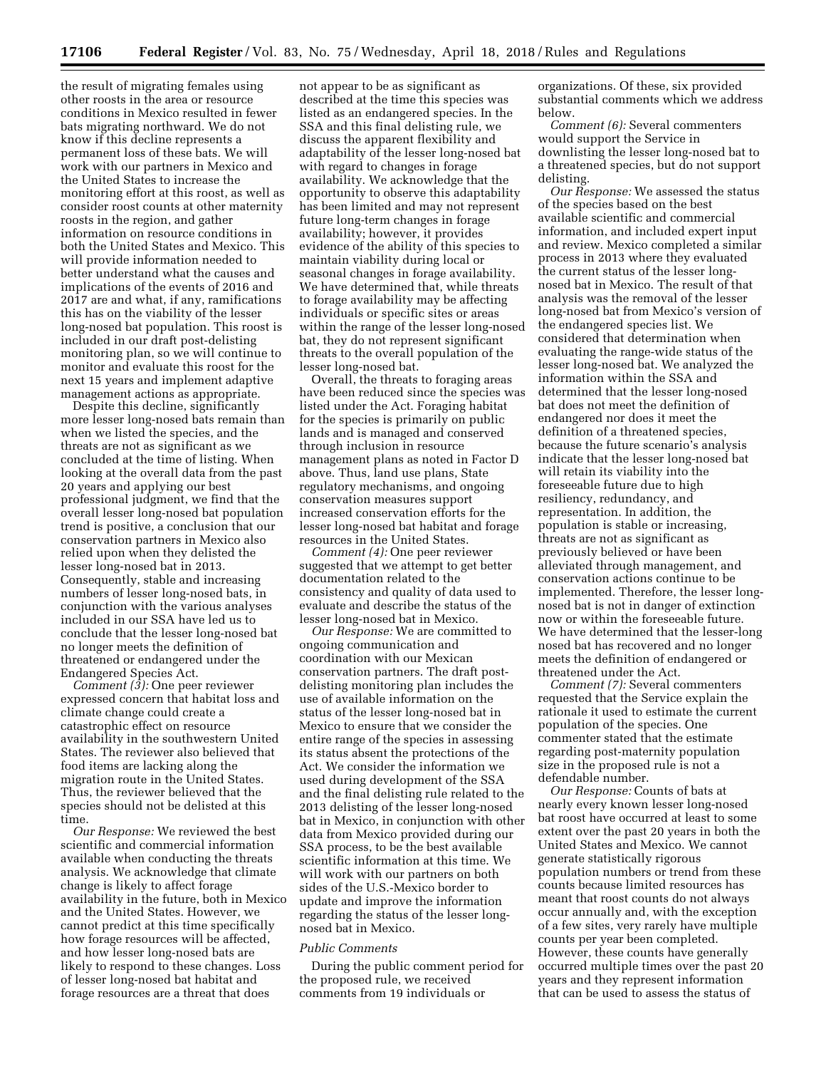the result of migrating females using other roosts in the area or resource conditions in Mexico resulted in fewer bats migrating northward. We do not know if this decline represents a permanent loss of these bats. We will work with our partners in Mexico and the United States to increase the monitoring effort at this roost, as well as consider roost counts at other maternity roosts in the region, and gather information on resource conditions in both the United States and Mexico. This will provide information needed to better understand what the causes and implications of the events of 2016 and 2017 are and what, if any, ramifications this has on the viability of the lesser long-nosed bat population. This roost is included in our draft post-delisting monitoring plan, so we will continue to monitor and evaluate this roost for the next 15 years and implement adaptive management actions as appropriate.

Despite this decline, significantly more lesser long-nosed bats remain than when we listed the species, and the threats are not as significant as we concluded at the time of listing. When looking at the overall data from the past 20 years and applying our best professional judgment, we find that the overall lesser long-nosed bat population trend is positive, a conclusion that our conservation partners in Mexico also relied upon when they delisted the lesser long-nosed bat in 2013. Consequently, stable and increasing numbers of lesser long-nosed bats, in conjunction with the various analyses included in our SSA have led us to conclude that the lesser long-nosed bat no longer meets the definition of threatened or endangered under the Endangered Species Act.

*Comment (3):* One peer reviewer expressed concern that habitat loss and climate change could create a catastrophic effect on resource availability in the southwestern United States. The reviewer also believed that food items are lacking along the migration route in the United States. Thus, the reviewer believed that the species should not be delisted at this time.

*Our Response:* We reviewed the best scientific and commercial information available when conducting the threats analysis. We acknowledge that climate change is likely to affect forage availability in the future, both in Mexico and the United States. However, we cannot predict at this time specifically how forage resources will be affected, and how lesser long-nosed bats are likely to respond to these changes. Loss of lesser long-nosed bat habitat and forage resources are a threat that does

not appear to be as significant as described at the time this species was listed as an endangered species. In the SSA and this final delisting rule, we discuss the apparent flexibility and adaptability of the lesser long-nosed bat with regard to changes in forage availability. We acknowledge that the opportunity to observe this adaptability has been limited and may not represent future long-term changes in forage availability; however, it provides evidence of the ability of this species to maintain viability during local or seasonal changes in forage availability. We have determined that, while threats to forage availability may be affecting individuals or specific sites or areas within the range of the lesser long-nosed bat, they do not represent significant threats to the overall population of the lesser long-nosed bat.

Overall, the threats to foraging areas have been reduced since the species was listed under the Act. Foraging habitat for the species is primarily on public lands and is managed and conserved through inclusion in resource management plans as noted in Factor D above. Thus, land use plans, State regulatory mechanisms, and ongoing conservation measures support increased conservation efforts for the lesser long-nosed bat habitat and forage resources in the United States.

*Comment (4):* One peer reviewer suggested that we attempt to get better documentation related to the consistency and quality of data used to evaluate and describe the status of the lesser long-nosed bat in Mexico.

*Our Response:* We are committed to ongoing communication and coordination with our Mexican conservation partners. The draft postdelisting monitoring plan includes the use of available information on the status of the lesser long-nosed bat in Mexico to ensure that we consider the entire range of the species in assessing its status absent the protections of the Act. We consider the information we used during development of the SSA and the final delisting rule related to the 2013 delisting of the lesser long-nosed bat in Mexico, in conjunction with other data from Mexico provided during our SSA process, to be the best available scientific information at this time. We will work with our partners on both sides of the U.S.-Mexico border to update and improve the information regarding the status of the lesser longnosed bat in Mexico.

# *Public Comments*

During the public comment period for the proposed rule, we received comments from 19 individuals or

organizations. Of these, six provided substantial comments which we address below.

*Comment (6):* Several commenters would support the Service in downlisting the lesser long-nosed bat to a threatened species, but do not support delisting.

*Our Response:* We assessed the status of the species based on the best available scientific and commercial information, and included expert input and review. Mexico completed a similar process in 2013 where they evaluated the current status of the lesser longnosed bat in Mexico. The result of that analysis was the removal of the lesser long-nosed bat from Mexico's version of the endangered species list. We considered that determination when evaluating the range-wide status of the lesser long-nosed bat. We analyzed the information within the SSA and determined that the lesser long-nosed bat does not meet the definition of endangered nor does it meet the definition of a threatened species, because the future scenario's analysis indicate that the lesser long-nosed bat will retain its viability into the foreseeable future due to high resiliency, redundancy, and representation. In addition, the population is stable or increasing, threats are not as significant as previously believed or have been alleviated through management, and conservation actions continue to be implemented. Therefore, the lesser longnosed bat is not in danger of extinction now or within the foreseeable future. We have determined that the lesser-long nosed bat has recovered and no longer meets the definition of endangered or threatened under the Act.

*Comment (7):* Several commenters requested that the Service explain the rationale it used to estimate the current population of the species. One commenter stated that the estimate regarding post-maternity population size in the proposed rule is not a defendable number.

*Our Response:* Counts of bats at nearly every known lesser long-nosed bat roost have occurred at least to some extent over the past 20 years in both the United States and Mexico. We cannot generate statistically rigorous population numbers or trend from these counts because limited resources has meant that roost counts do not always occur annually and, with the exception of a few sites, very rarely have multiple counts per year been completed. However, these counts have generally occurred multiple times over the past 20 years and they represent information that can be used to assess the status of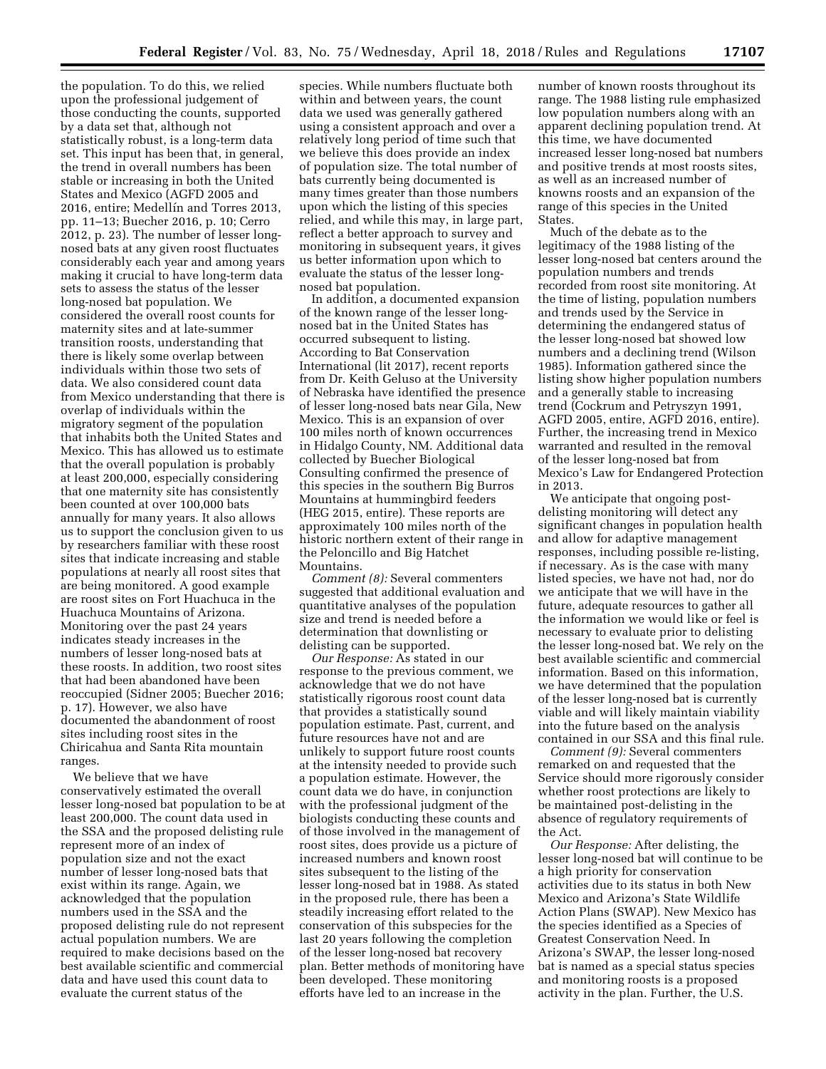the population. To do this, we relied upon the professional judgement of those conducting the counts, supported by a data set that, although not statistically robust, is a long-term data set. This input has been that, in general, the trend in overall numbers has been stable or increasing in both the United States and Mexico (AGFD 2005 and 2016, entire; Medellín and Torres 2013, pp. 11–13; Buecher 2016, p. 10; Cerro 2012, p. 23). The number of lesser longnosed bats at any given roost fluctuates considerably each year and among years making it crucial to have long-term data sets to assess the status of the lesser long-nosed bat population. We considered the overall roost counts for maternity sites and at late-summer transition roosts, understanding that there is likely some overlap between individuals within those two sets of data. We also considered count data from Mexico understanding that there is overlap of individuals within the migratory segment of the population that inhabits both the United States and Mexico. This has allowed us to estimate that the overall population is probably at least 200,000, especially considering that one maternity site has consistently been counted at over 100,000 bats annually for many years. It also allows us to support the conclusion given to us by researchers familiar with these roost sites that indicate increasing and stable populations at nearly all roost sites that are being monitored. A good example are roost sites on Fort Huachuca in the Huachuca Mountains of Arizona. Monitoring over the past 24 years indicates steady increases in the numbers of lesser long-nosed bats at these roosts. In addition, two roost sites that had been abandoned have been reoccupied (Sidner 2005; Buecher 2016; p. 17). However, we also have documented the abandonment of roost sites including roost sites in the Chiricahua and Santa Rita mountain ranges.

We believe that we have conservatively estimated the overall lesser long-nosed bat population to be at least 200,000. The count data used in the SSA and the proposed delisting rule represent more of an index of population size and not the exact number of lesser long-nosed bats that exist within its range. Again, we acknowledged that the population numbers used in the SSA and the proposed delisting rule do not represent actual population numbers. We are required to make decisions based on the best available scientific and commercial data and have used this count data to evaluate the current status of the

species. While numbers fluctuate both within and between years, the count data we used was generally gathered using a consistent approach and over a relatively long period of time such that we believe this does provide an index of population size. The total number of bats currently being documented is many times greater than those numbers upon which the listing of this species relied, and while this may, in large part, reflect a better approach to survey and monitoring in subsequent years, it gives us better information upon which to evaluate the status of the lesser longnosed bat population.

In addition, a documented expansion of the known range of the lesser longnosed bat in the United States has occurred subsequent to listing. According to Bat Conservation International (lit 2017), recent reports from Dr. Keith Geluso at the University of Nebraska have identified the presence of lesser long-nosed bats near Gila, New Mexico. This is an expansion of over 100 miles north of known occurrences in Hidalgo County, NM. Additional data collected by Buecher Biological Consulting confirmed the presence of this species in the southern Big Burros Mountains at hummingbird feeders (HEG 2015, entire). These reports are approximately 100 miles north of the historic northern extent of their range in the Peloncillo and Big Hatchet Mountains.

*Comment (8):* Several commenters suggested that additional evaluation and quantitative analyses of the population size and trend is needed before a determination that downlisting or delisting can be supported.

*Our Response:* As stated in our response to the previous comment, we acknowledge that we do not have statistically rigorous roost count data that provides a statistically sound population estimate. Past, current, and future resources have not and are unlikely to support future roost counts at the intensity needed to provide such a population estimate. However, the count data we do have, in conjunction with the professional judgment of the biologists conducting these counts and of those involved in the management of roost sites, does provide us a picture of increased numbers and known roost sites subsequent to the listing of the lesser long-nosed bat in 1988. As stated in the proposed rule, there has been a steadily increasing effort related to the conservation of this subspecies for the last 20 years following the completion of the lesser long-nosed bat recovery plan. Better methods of monitoring have been developed. These monitoring efforts have led to an increase in the

number of known roosts throughout its range. The 1988 listing rule emphasized low population numbers along with an apparent declining population trend. At this time, we have documented increased lesser long-nosed bat numbers and positive trends at most roosts sites, as well as an increased number of knowns roosts and an expansion of the range of this species in the United States.

Much of the debate as to the legitimacy of the 1988 listing of the lesser long-nosed bat centers around the population numbers and trends recorded from roost site monitoring. At the time of listing, population numbers and trends used by the Service in determining the endangered status of the lesser long-nosed bat showed low numbers and a declining trend (Wilson 1985). Information gathered since the listing show higher population numbers and a generally stable to increasing trend (Cockrum and Petryszyn 1991, AGFD 2005, entire, AGFD 2016, entire). Further, the increasing trend in Mexico warranted and resulted in the removal of the lesser long-nosed bat from Mexico's Law for Endangered Protection in 2013.

We anticipate that ongoing postdelisting monitoring will detect any significant changes in population health and allow for adaptive management responses, including possible re-listing, if necessary. As is the case with many listed species, we have not had, nor do we anticipate that we will have in the future, adequate resources to gather all the information we would like or feel is necessary to evaluate prior to delisting the lesser long-nosed bat. We rely on the best available scientific and commercial information. Based on this information, we have determined that the population of the lesser long-nosed bat is currently viable and will likely maintain viability into the future based on the analysis contained in our SSA and this final rule.

*Comment (9):* Several commenters remarked on and requested that the Service should more rigorously consider whether roost protections are likely to be maintained post-delisting in the absence of regulatory requirements of the Act.

*Our Response:* After delisting, the lesser long-nosed bat will continue to be a high priority for conservation activities due to its status in both New Mexico and Arizona's State Wildlife Action Plans (SWAP). New Mexico has the species identified as a Species of Greatest Conservation Need. In Arizona's SWAP, the lesser long-nosed bat is named as a special status species and monitoring roosts is a proposed activity in the plan. Further, the U.S.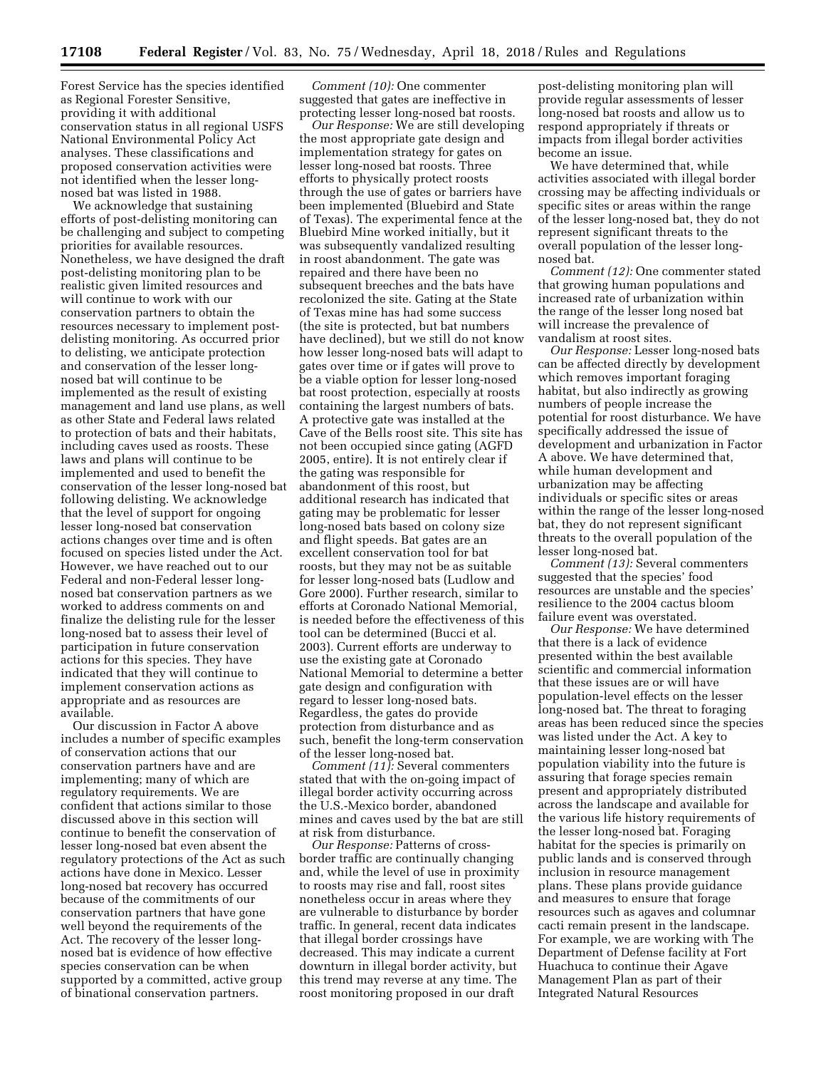Forest Service has the species identified as Regional Forester Sensitive, providing it with additional conservation status in all regional USFS National Environmental Policy Act analyses. These classifications and proposed conservation activities were not identified when the lesser longnosed bat was listed in 1988.

We acknowledge that sustaining efforts of post-delisting monitoring can be challenging and subject to competing priorities for available resources. Nonetheless, we have designed the draft post-delisting monitoring plan to be realistic given limited resources and will continue to work with our conservation partners to obtain the resources necessary to implement postdelisting monitoring. As occurred prior to delisting, we anticipate protection and conservation of the lesser longnosed bat will continue to be implemented as the result of existing management and land use plans, as well as other State and Federal laws related to protection of bats and their habitats, including caves used as roosts. These laws and plans will continue to be implemented and used to benefit the conservation of the lesser long-nosed bat following delisting. We acknowledge that the level of support for ongoing lesser long-nosed bat conservation actions changes over time and is often focused on species listed under the Act. However, we have reached out to our Federal and non-Federal lesser longnosed bat conservation partners as we worked to address comments on and finalize the delisting rule for the lesser long-nosed bat to assess their level of participation in future conservation actions for this species. They have indicated that they will continue to implement conservation actions as appropriate and as resources are available.

Our discussion in Factor A above includes a number of specific examples of conservation actions that our conservation partners have and are implementing; many of which are regulatory requirements. We are confident that actions similar to those discussed above in this section will continue to benefit the conservation of lesser long-nosed bat even absent the regulatory protections of the Act as such actions have done in Mexico. Lesser long-nosed bat recovery has occurred because of the commitments of our conservation partners that have gone well beyond the requirements of the Act. The recovery of the lesser longnosed bat is evidence of how effective species conservation can be when supported by a committed, active group of binational conservation partners.

*Comment (10):* One commenter suggested that gates are ineffective in protecting lesser long-nosed bat roosts.

*Our Response:* We are still developing the most appropriate gate design and implementation strategy for gates on lesser long-nosed bat roosts. Three efforts to physically protect roosts through the use of gates or barriers have been implemented (Bluebird and State of Texas). The experimental fence at the Bluebird Mine worked initially, but it was subsequently vandalized resulting in roost abandonment. The gate was repaired and there have been no subsequent breeches and the bats have recolonized the site. Gating at the State of Texas mine has had some success (the site is protected, but bat numbers have declined), but we still do not know how lesser long-nosed bats will adapt to gates over time or if gates will prove to be a viable option for lesser long-nosed bat roost protection, especially at roosts containing the largest numbers of bats. A protective gate was installed at the Cave of the Bells roost site. This site has not been occupied since gating (AGFD 2005, entire). It is not entirely clear if the gating was responsible for abandonment of this roost, but additional research has indicated that gating may be problematic for lesser long-nosed bats based on colony size and flight speeds. Bat gates are an excellent conservation tool for bat roosts, but they may not be as suitable for lesser long-nosed bats (Ludlow and Gore 2000). Further research, similar to efforts at Coronado National Memorial, is needed before the effectiveness of this tool can be determined (Bucci et al. 2003). Current efforts are underway to use the existing gate at Coronado National Memorial to determine a better gate design and configuration with regard to lesser long-nosed bats. Regardless, the gates do provide protection from disturbance and as such, benefit the long-term conservation of the lesser long-nosed bat.

*Comment (11):* Several commenters stated that with the on-going impact of illegal border activity occurring across the U.S.-Mexico border, abandoned mines and caves used by the bat are still at risk from disturbance.

*Our Response:* Patterns of crossborder traffic are continually changing and, while the level of use in proximity to roosts may rise and fall, roost sites nonetheless occur in areas where they are vulnerable to disturbance by border traffic. In general, recent data indicates that illegal border crossings have decreased. This may indicate a current downturn in illegal border activity, but this trend may reverse at any time. The roost monitoring proposed in our draft

post-delisting monitoring plan will provide regular assessments of lesser long-nosed bat roosts and allow us to respond appropriately if threats or impacts from illegal border activities become an issue.

We have determined that, while activities associated with illegal border crossing may be affecting individuals or specific sites or areas within the range of the lesser long-nosed bat, they do not represent significant threats to the overall population of the lesser longnosed bat.

*Comment (12):* One commenter stated that growing human populations and increased rate of urbanization within the range of the lesser long nosed bat will increase the prevalence of vandalism at roost sites.

*Our Response:* Lesser long-nosed bats can be affected directly by development which removes important foraging habitat, but also indirectly as growing numbers of people increase the potential for roost disturbance. We have specifically addressed the issue of development and urbanization in Factor A above. We have determined that, while human development and urbanization may be affecting individuals or specific sites or areas within the range of the lesser long-nosed bat, they do not represent significant threats to the overall population of the lesser long-nosed bat.

*Comment (13):* Several commenters suggested that the species' food resources are unstable and the species' resilience to the 2004 cactus bloom failure event was overstated.

*Our Response:* We have determined that there is a lack of evidence presented within the best available scientific and commercial information that these issues are or will have population-level effects on the lesser long-nosed bat. The threat to foraging areas has been reduced since the species was listed under the Act. A key to maintaining lesser long-nosed bat population viability into the future is assuring that forage species remain present and appropriately distributed across the landscape and available for the various life history requirements of the lesser long-nosed bat. Foraging habitat for the species is primarily on public lands and is conserved through inclusion in resource management plans. These plans provide guidance and measures to ensure that forage resources such as agaves and columnar cacti remain present in the landscape. For example, we are working with The Department of Defense facility at Fort Huachuca to continue their Agave Management Plan as part of their Integrated Natural Resources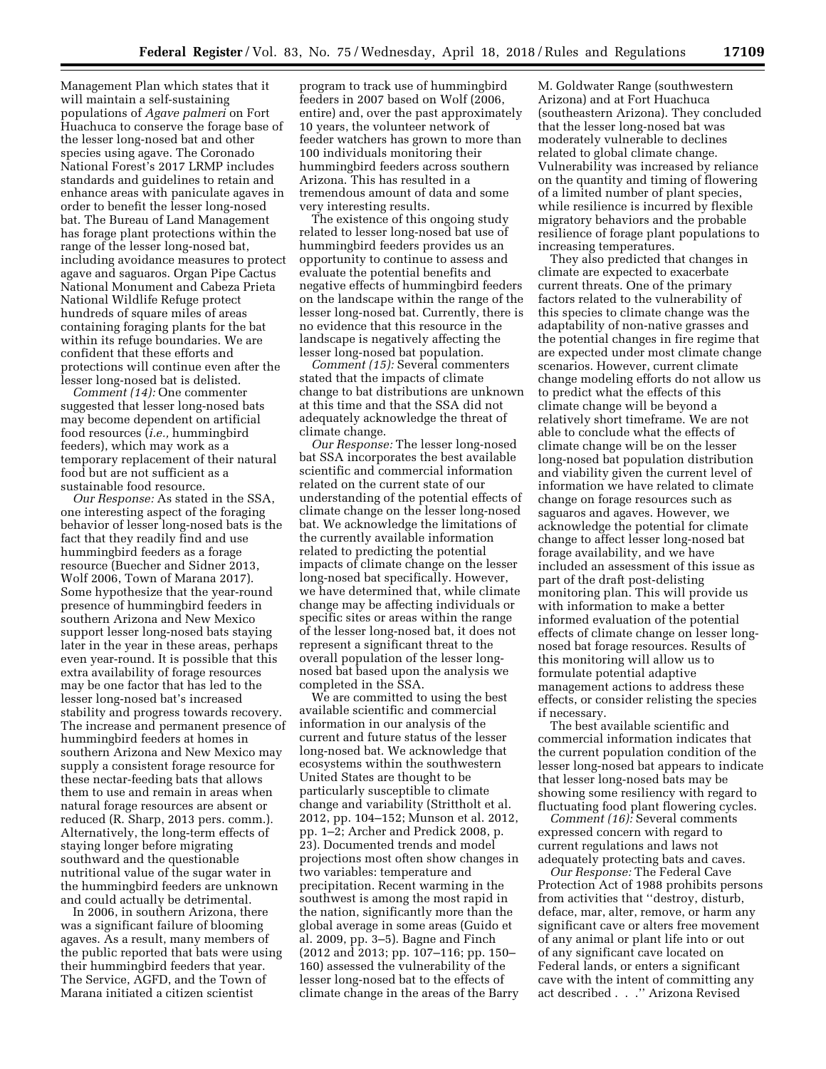Management Plan which states that it will maintain a self-sustaining populations of *Agave palmeri* on Fort Huachuca to conserve the forage base of the lesser long-nosed bat and other species using agave. The Coronado National Forest's 2017 LRMP includes standards and guidelines to retain and enhance areas with paniculate agaves in order to benefit the lesser long-nosed bat. The Bureau of Land Management has forage plant protections within the range of the lesser long-nosed bat, including avoidance measures to protect agave and saguaros. Organ Pipe Cactus National Monument and Cabeza Prieta National Wildlife Refuge protect hundreds of square miles of areas containing foraging plants for the bat within its refuge boundaries. We are confident that these efforts and protections will continue even after the lesser long-nosed bat is delisted.

*Comment (14):* One commenter suggested that lesser long-nosed bats may become dependent on artificial food resources (*i.e.,* hummingbird feeders), which may work as a temporary replacement of their natural food but are not sufficient as a sustainable food resource.

*Our Response:* As stated in the SSA, one interesting aspect of the foraging behavior of lesser long-nosed bats is the fact that they readily find and use hummingbird feeders as a forage resource (Buecher and Sidner 2013, Wolf 2006, Town of Marana 2017). Some hypothesize that the year-round presence of hummingbird feeders in southern Arizona and New Mexico support lesser long-nosed bats staying later in the year in these areas, perhaps even year-round. It is possible that this extra availability of forage resources may be one factor that has led to the lesser long-nosed bat's increased stability and progress towards recovery. The increase and permanent presence of hummingbird feeders at homes in southern Arizona and New Mexico may supply a consistent forage resource for these nectar-feeding bats that allows them to use and remain in areas when natural forage resources are absent or reduced (R. Sharp, 2013 pers. comm.). Alternatively, the long-term effects of staying longer before migrating southward and the questionable nutritional value of the sugar water in the hummingbird feeders are unknown and could actually be detrimental.

In 2006, in southern Arizona, there was a significant failure of blooming agaves. As a result, many members of the public reported that bats were using their hummingbird feeders that year. The Service, AGFD, and the Town of Marana initiated a citizen scientist

program to track use of hummingbird feeders in 2007 based on Wolf (2006, entire) and, over the past approximately 10 years, the volunteer network of feeder watchers has grown to more than 100 individuals monitoring their hummingbird feeders across southern Arizona. This has resulted in a tremendous amount of data and some very interesting results.

The existence of this ongoing study related to lesser long-nosed bat use of hummingbird feeders provides us an opportunity to continue to assess and evaluate the potential benefits and negative effects of hummingbird feeders on the landscape within the range of the lesser long-nosed bat. Currently, there is no evidence that this resource in the landscape is negatively affecting the lesser long-nosed bat population.

*Comment (15):* Several commenters stated that the impacts of climate change to bat distributions are unknown at this time and that the SSA did not adequately acknowledge the threat of climate change.

*Our Response:* The lesser long-nosed bat SSA incorporates the best available scientific and commercial information related on the current state of our understanding of the potential effects of climate change on the lesser long-nosed bat. We acknowledge the limitations of the currently available information related to predicting the potential impacts of climate change on the lesser long-nosed bat specifically. However, we have determined that, while climate change may be affecting individuals or specific sites or areas within the range of the lesser long-nosed bat, it does not represent a significant threat to the overall population of the lesser longnosed bat based upon the analysis we completed in the SSA.

We are committed to using the best available scientific and commercial information in our analysis of the current and future status of the lesser long-nosed bat. We acknowledge that ecosystems within the southwestern United States are thought to be particularly susceptible to climate change and variability (Strittholt et al. 2012, pp. 104–152; Munson et al. 2012, pp. 1–2; Archer and Predick 2008, p. 23). Documented trends and model projections most often show changes in two variables: temperature and precipitation. Recent warming in the southwest is among the most rapid in the nation, significantly more than the global average in some areas (Guido et al. 2009, pp. 3–5). Bagne and Finch (2012 and 2013; pp. 107–116; pp. 150– 160) assessed the vulnerability of the lesser long-nosed bat to the effects of climate change in the areas of the Barry

M. Goldwater Range (southwestern Arizona) and at Fort Huachuca (southeastern Arizona). They concluded that the lesser long-nosed bat was moderately vulnerable to declines related to global climate change. Vulnerability was increased by reliance on the quantity and timing of flowering of a limited number of plant species, while resilience is incurred by flexible migratory behaviors and the probable resilience of forage plant populations to increasing temperatures.

They also predicted that changes in climate are expected to exacerbate current threats. One of the primary factors related to the vulnerability of this species to climate change was the adaptability of non-native grasses and the potential changes in fire regime that are expected under most climate change scenarios. However, current climate change modeling efforts do not allow us to predict what the effects of this climate change will be beyond a relatively short timeframe. We are not able to conclude what the effects of climate change will be on the lesser long-nosed bat population distribution and viability given the current level of information we have related to climate change on forage resources such as saguaros and agaves. However, we acknowledge the potential for climate change to affect lesser long-nosed bat forage availability, and we have included an assessment of this issue as part of the draft post-delisting monitoring plan. This will provide us with information to make a better informed evaluation of the potential effects of climate change on lesser longnosed bat forage resources. Results of this monitoring will allow us to formulate potential adaptive management actions to address these effects, or consider relisting the species if necessary.

The best available scientific and commercial information indicates that the current population condition of the lesser long-nosed bat appears to indicate that lesser long-nosed bats may be showing some resiliency with regard to fluctuating food plant flowering cycles.

*Comment (16):* Several comments expressed concern with regard to current regulations and laws not adequately protecting bats and caves.

*Our Response:* The Federal Cave Protection Act of 1988 prohibits persons from activities that ''destroy, disturb, deface, mar, alter, remove, or harm any significant cave or alters free movement of any animal or plant life into or out of any significant cave located on Federal lands, or enters a significant cave with the intent of committing any act described . . .'' Arizona Revised